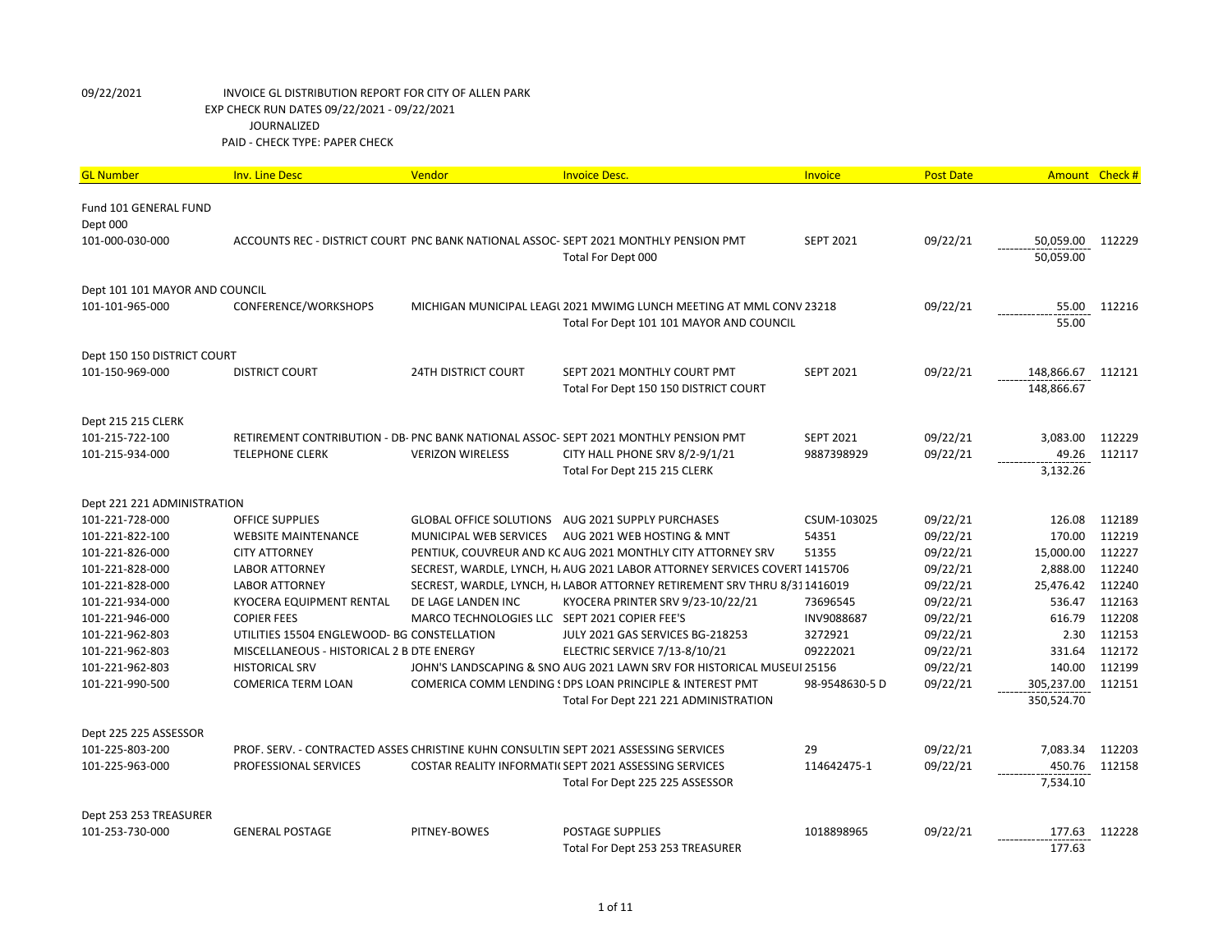| <b>GL Number</b>               | <b>Inv. Line Desc</b>                       | Vendor                                        | <b>Invoice Desc.</b>                                                                 | Invoice          | <b>Post Date</b> | Amount Check # |        |
|--------------------------------|---------------------------------------------|-----------------------------------------------|--------------------------------------------------------------------------------------|------------------|------------------|----------------|--------|
| Fund 101 GENERAL FUND          |                                             |                                               |                                                                                      |                  |                  |                |        |
| Dept 000                       |                                             |                                               |                                                                                      |                  |                  |                |        |
| 101-000-030-000                |                                             |                                               | ACCOUNTS REC - DISTRICT COURT PNC BANK NATIONAL ASSOC- SEPT 2021 MONTHLY PENSION PMT | <b>SEPT 2021</b> | 09/22/21         | 50,059.00      | 112229 |
|                                |                                             |                                               | Total For Dept 000                                                                   |                  |                  | 50,059.00      |        |
| Dept 101 101 MAYOR AND COUNCIL |                                             |                                               |                                                                                      |                  |                  |                |        |
| 101-101-965-000                | CONFERENCE/WORKSHOPS                        |                                               | MICHIGAN MUNICIPAL LEAGL 2021 MWIMG LUNCH MEETING AT MML CONV 23218                  |                  | 09/22/21         | 55.00          | 112216 |
|                                |                                             |                                               | Total For Dept 101 101 MAYOR AND COUNCIL                                             |                  |                  | 55.00          |        |
|                                |                                             |                                               |                                                                                      |                  |                  |                |        |
| Dept 150 150 DISTRICT COURT    |                                             |                                               |                                                                                      |                  |                  |                |        |
| 101-150-969-000                | <b>DISTRICT COURT</b>                       | <b>24TH DISTRICT COURT</b>                    | SEPT 2021 MONTHLY COURT PMT                                                          | <b>SEPT 2021</b> | 09/22/21         | 148,866.67     | 112121 |
|                                |                                             |                                               | Total For Dept 150 150 DISTRICT COURT                                                |                  |                  | 148,866.67     |        |
|                                |                                             |                                               |                                                                                      |                  |                  |                |        |
| Dept 215 215 CLERK             |                                             |                                               |                                                                                      |                  |                  |                |        |
| 101-215-722-100                |                                             |                                               | RETIREMENT CONTRIBUTION - DB- PNC BANK NATIONAL ASSOC-SEPT 2021 MONTHLY PENSION PMT  | <b>SEPT 2021</b> | 09/22/21         | 3,083.00       | 112229 |
| 101-215-934-000                | <b>TELEPHONE CLERK</b>                      | <b>VERIZON WIRELESS</b>                       | CITY HALL PHONE SRV 8/2-9/1/21                                                       | 9887398929       | 09/22/21         | 49.26          | 112117 |
|                                |                                             |                                               | Total For Dept 215 215 CLERK                                                         |                  |                  | 3,132.26       |        |
| Dept 221 221 ADMINISTRATION    |                                             |                                               |                                                                                      |                  |                  |                |        |
| 101-221-728-000                | <b>OFFICE SUPPLIES</b>                      |                                               | GLOBAL OFFICE SOLUTIONS AUG 2021 SUPPLY PURCHASES                                    | CSUM-103025      | 09/22/21         | 126.08         | 112189 |
| 101-221-822-100                | <b>WEBSITE MAINTENANCE</b>                  | MUNICIPAL WEB SERVICES                        | AUG 2021 WEB HOSTING & MNT                                                           | 54351            | 09/22/21         | 170.00         | 112219 |
| 101-221-826-000                | <b>CITY ATTORNEY</b>                        |                                               | PENTIUK, COUVREUR AND KC AUG 2021 MONTHLY CITY ATTORNEY SRV                          | 51355            | 09/22/21         | 15,000.00      | 112227 |
| 101-221-828-000                | <b>LABOR ATTORNEY</b>                       |                                               | SECREST, WARDLE, LYNCH, H. AUG 2021 LABOR ATTORNEY SERVICES COVERT 1415706           |                  | 09/22/21         | 2,888.00       | 112240 |
| 101-221-828-000                | <b>LABOR ATTORNEY</b>                       |                                               | SECREST, WARDLE, LYNCH, H. LABOR ATTORNEY RETIREMENT SRV THRU 8/311416019            |                  | 09/22/21         | 25,476.42      | 112240 |
| 101-221-934-000                | KYOCERA EQUIPMENT RENTAL                    | DE LAGE LANDEN INC                            | KYOCERA PRINTER SRV 9/23-10/22/21                                                    | 73696545         | 09/22/21         | 536.47         | 112163 |
| 101-221-946-000                | <b>COPIER FEES</b>                          | MARCO TECHNOLOGIES LLC SEPT 2021 COPIER FEE'S |                                                                                      | INV9088687       | 09/22/21         | 616.79         | 112208 |
| 101-221-962-803                | UTILITIES 15504 ENGLEWOOD- BG CONSTELLATION |                                               | JULY 2021 GAS SERVICES BG-218253                                                     | 3272921          | 09/22/21         | 2.30           | 112153 |
| 101-221-962-803                | MISCELLANEOUS - HISTORICAL 2 B DTE ENERGY   |                                               | ELECTRIC SERVICE 7/13-8/10/21                                                        | 09222021         | 09/22/21         | 331.64         | 112172 |
| 101-221-962-803                | <b>HISTORICAL SRV</b>                       |                                               | JOHN'S LANDSCAPING & SNO AUG 2021 LAWN SRV FOR HISTORICAL MUSEUI 25156               |                  | 09/22/21         | 140.00         | 112199 |
| 101-221-990-500                | <b>COMERICA TERM LOAN</b>                   |                                               | COMERICA COMM LENDING ! DPS LOAN PRINCIPLE & INTEREST PMT                            | 98-9548630-5 D   | 09/22/21         | 305,237.00     | 112151 |
|                                |                                             |                                               | Total For Dept 221 221 ADMINISTRATION                                                |                  |                  | 350,524.70     |        |
| Dept 225 225 ASSESSOR          |                                             |                                               |                                                                                      |                  |                  |                |        |
| 101-225-803-200                |                                             |                                               | PROF. SERV. - CONTRACTED ASSES CHRISTINE KUHN CONSULTIN SEPT 2021 ASSESSING SERVICES | 29               | 09/22/21         | 7,083.34       | 112203 |
| 101-225-963-000                | PROFESSIONAL SERVICES                       |                                               | COSTAR REALITY INFORMATI(SEPT 2021 ASSESSING SERVICES                                | 114642475-1      | 09/22/21         | 450.76         | 112158 |
|                                |                                             |                                               | Total For Dept 225 225 ASSESSOR                                                      |                  |                  | 7,534.10       |        |
| Dept 253 253 TREASURER         |                                             |                                               |                                                                                      |                  |                  |                |        |
| 101-253-730-000                | <b>GENERAL POSTAGE</b>                      | PITNEY-BOWES                                  | <b>POSTAGE SUPPLIES</b>                                                              | 1018898965       | 09/22/21         | 177.63         | 112228 |
|                                |                                             |                                               | Total For Dept 253 253 TREASURER                                                     |                  |                  | 177.63         |        |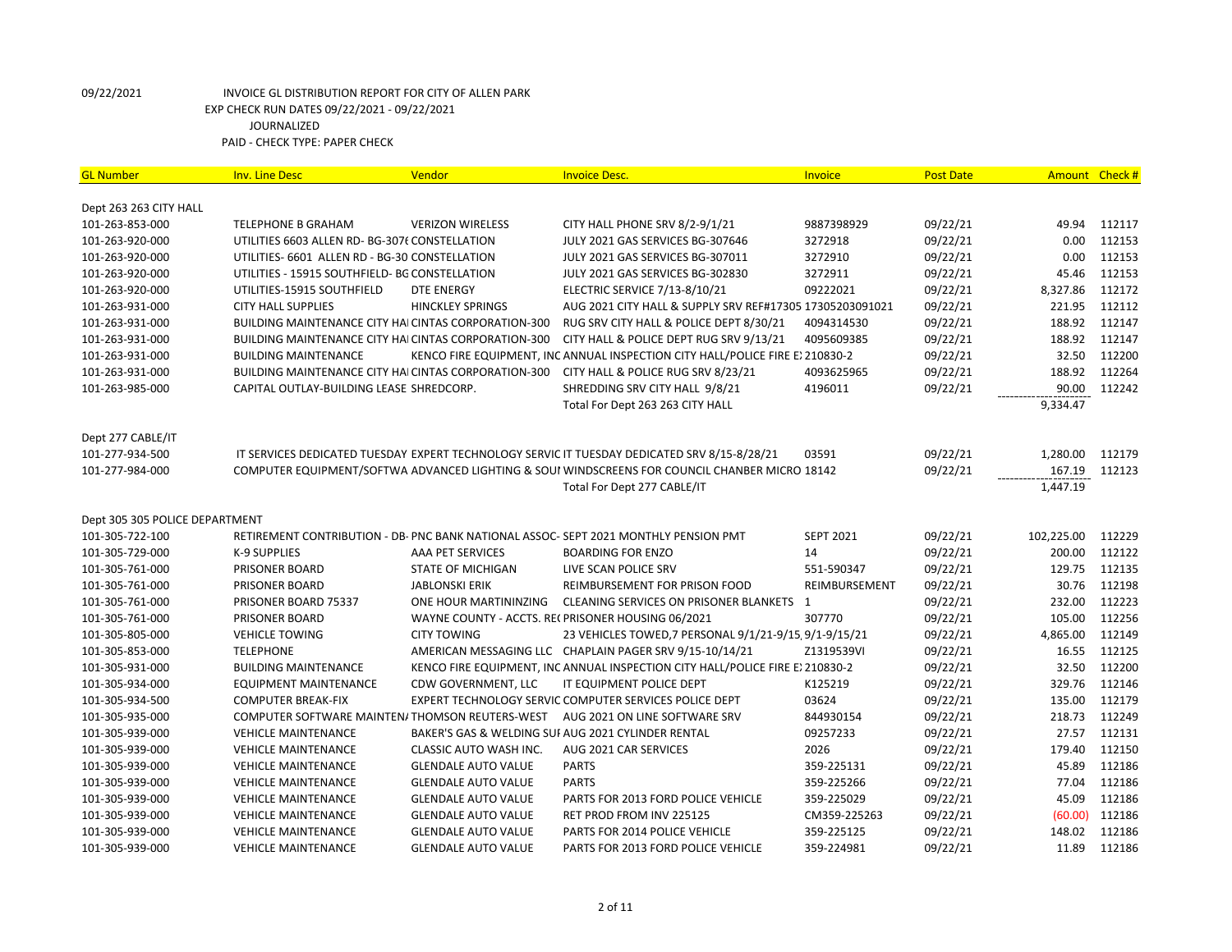| <b>GL Number</b>               | <b>Inv. Line Desc</b>                                | Vendor                     | <b>Invoice Desc.</b>                                                                           | <b>Invoice</b>   | <b>Post Date</b> | Amount Check # |        |
|--------------------------------|------------------------------------------------------|----------------------------|------------------------------------------------------------------------------------------------|------------------|------------------|----------------|--------|
| Dept 263 263 CITY HALL         |                                                      |                            |                                                                                                |                  |                  |                |        |
| 101-263-853-000                | <b>TELEPHONE B GRAHAM</b>                            | <b>VERIZON WIRELESS</b>    | CITY HALL PHONE SRV 8/2-9/1/21                                                                 | 9887398929       | 09/22/21         | 49.94          | 112117 |
| 101-263-920-000                | UTILITIES 6603 ALLEN RD- BG-3076 CONSTELLATION       |                            | JULY 2021 GAS SERVICES BG-307646                                                               | 3272918          | 09/22/21         | 0.00           | 112153 |
| 101-263-920-000                | UTILITIES- 6601 ALLEN RD - BG-30 CONSTELLATION       |                            | JULY 2021 GAS SERVICES BG-307011                                                               | 3272910          | 09/22/21         | 0.00           | 112153 |
| 101-263-920-000                | UTILITIES - 15915 SOUTHFIELD- BG CONSTELLATION       |                            | JULY 2021 GAS SERVICES BG-302830                                                               | 3272911          | 09/22/21         | 45.46          | 112153 |
| 101-263-920-000                | UTILITIES-15915 SOUTHFIELD                           | <b>DTE ENERGY</b>          | ELECTRIC SERVICE 7/13-8/10/21                                                                  | 09222021         | 09/22/21         | 8,327.86       | 112172 |
| 101-263-931-000                | <b>CITY HALL SUPPLIES</b>                            | <b>HINCKLEY SPRINGS</b>    | AUG 2021 CITY HALL & SUPPLY SRV REF#17305 17305203091021                                       |                  | 09/22/21         | 221.95         | 112112 |
| 101-263-931-000                | BUILDING MAINTENANCE CITY HAI CINTAS CORPORATION-300 |                            | RUG SRV CITY HALL & POLICE DEPT 8/30/21                                                        | 4094314530       | 09/22/21         | 188.92         | 112147 |
| 101-263-931-000                | BUILDING MAINTENANCE CITY HAI CINTAS CORPORATION-300 |                            | CITY HALL & POLICE DEPT RUG SRV 9/13/21                                                        | 4095609385       | 09/22/21         | 188.92         | 112147 |
| 101-263-931-000                | <b>BUILDING MAINTENANCE</b>                          |                            | KENCO FIRE EQUIPMENT, INC ANNUAL INSPECTION CITY HALL/POLICE FIRE E>210830-2                   |                  | 09/22/21         | 32.50          | 112200 |
| 101-263-931-000                | BUILDING MAINTENANCE CITY HAI CINTAS CORPORATION-300 |                            | CITY HALL & POLICE RUG SRV 8/23/21                                                             | 4093625965       | 09/22/21         | 188.92         | 112264 |
| 101-263-985-000                | CAPITAL OUTLAY-BUILDING LEASE SHREDCORP.             |                            | SHREDDING SRV CITY HALL 9/8/21                                                                 | 4196011          | 09/22/21         | 90.00          | 112242 |
|                                |                                                      |                            | Total For Dept 263 263 CITY HALL                                                               |                  |                  | 9,334.47       |        |
|                                |                                                      |                            |                                                                                                |                  |                  |                |        |
| Dept 277 CABLE/IT              |                                                      |                            |                                                                                                |                  |                  |                |        |
| 101-277-934-500                |                                                      |                            | IT SERVICES DEDICATED TUESDAY EXPERT TECHNOLOGY SERVIC IT TUESDAY DEDICATED SRV 8/15-8/28/21   | 03591            | 09/22/21         | 1,280.00       | 112179 |
| 101-277-984-000                |                                                      |                            | COMPUTER EQUIPMENT/SOFTWA ADVANCED LIGHTING & SOUI WINDSCREENS FOR COUNCIL CHANBER MICRO 18142 |                  | 09/22/21         | 167.19         | 112123 |
|                                |                                                      |                            | Total For Dept 277 CABLE/IT                                                                    |                  |                  | 1,447.19       |        |
|                                |                                                      |                            |                                                                                                |                  |                  |                |        |
| Dept 305 305 POLICE DEPARTMENT |                                                      |                            |                                                                                                |                  |                  |                |        |
| 101-305-722-100                |                                                      |                            | RETIREMENT CONTRIBUTION - DB- PNC BANK NATIONAL ASSOC-SEPT 2021 MONTHLY PENSION PMT            | <b>SEPT 2021</b> | 09/22/21         | 102,225.00     | 112229 |
| 101-305-729-000                | K-9 SUPPLIES                                         | AAA PET SERVICES           | <b>BOARDING FOR ENZO</b>                                                                       | 14               | 09/22/21         | 200.00         | 112122 |
| 101-305-761-000                | PRISONER BOARD                                       | <b>STATE OF MICHIGAN</b>   | LIVE SCAN POLICE SRV                                                                           | 551-590347       | 09/22/21         | 129.75         | 112135 |
| 101-305-761-000                | <b>PRISONER BOARD</b>                                | <b>JABLONSKI ERIK</b>      | REIMBURSEMENT FOR PRISON FOOD                                                                  | REIMBURSEMENT    | 09/22/21         | 30.76          | 112198 |
| 101-305-761-000                | PRISONER BOARD 75337                                 | ONE HOUR MARTININZING      | CLEANING SERVICES ON PRISONER BLANKETS 1                                                       |                  | 09/22/21         | 232.00         | 112223 |
| 101-305-761-000                | <b>PRISONER BOARD</b>                                |                            | WAYNE COUNTY - ACCTS. RECPRISONER HOUSING 06/2021                                              | 307770           | 09/22/21         | 105.00         | 112256 |
| 101-305-805-000                | <b>VEHICLE TOWING</b>                                | <b>CITY TOWING</b>         | 23 VEHICLES TOWED, 7 PERSONAL 9/1/21-9/15, 9/1-9/15/21                                         |                  | 09/22/21         | 4,865.00       | 112149 |
| 101-305-853-000                | <b>TELEPHONE</b>                                     |                            | AMERICAN MESSAGING LLC CHAPLAIN PAGER SRV 9/15-10/14/21                                        | Z1319539VI       | 09/22/21         | 16.55          | 112125 |
| 101-305-931-000                | <b>BUILDING MAINTENANCE</b>                          |                            | KENCO FIRE EQUIPMENT, INC ANNUAL INSPECTION CITY HALL/POLICE FIRE E) 210830-2                  |                  | 09/22/21         | 32.50          | 112200 |
| 101-305-934-000                | <b>EQUIPMENT MAINTENANCE</b>                         | CDW GOVERNMENT, LLC        | IT EQUIPMENT POLICE DEPT                                                                       | K125219          | 09/22/21         | 329.76         | 112146 |
| 101-305-934-500                | <b>COMPUTER BREAK-FIX</b>                            |                            | EXPERT TECHNOLOGY SERVIC COMPUTER SERVICES POLICE DEPT                                         | 03624            | 09/22/21         | 135.00         | 112179 |
| 101-305-935-000                | COMPUTER SOFTWARE MAINTEN/THOMSON REUTERS-WEST       |                            | AUG 2021 ON LINE SOFTWARE SRV                                                                  | 844930154        | 09/22/21         | 218.73         | 112249 |
| 101-305-939-000                | <b>VEHICLE MAINTENANCE</b>                           |                            | BAKER'S GAS & WELDING SUI AUG 2021 CYLINDER RENTAL                                             | 09257233         | 09/22/21         | 27.57          | 112131 |
| 101-305-939-000                | <b>VEHICLE MAINTENANCE</b>                           | CLASSIC AUTO WASH INC.     | AUG 2021 CAR SERVICES                                                                          | 2026             | 09/22/21         | 179.40         | 112150 |
| 101-305-939-000                | <b>VEHICLE MAINTENANCE</b>                           | <b>GLENDALE AUTO VALUE</b> | <b>PARTS</b>                                                                                   | 359-225131       | 09/22/21         | 45.89          | 112186 |
| 101-305-939-000                | <b>VEHICLE MAINTENANCE</b>                           | <b>GLENDALE AUTO VALUE</b> | <b>PARTS</b>                                                                                   | 359-225266       | 09/22/21         | 77.04          | 112186 |
| 101-305-939-000                | <b>VEHICLE MAINTENANCE</b>                           | <b>GLENDALE AUTO VALUE</b> | PARTS FOR 2013 FORD POLICE VEHICLE                                                             | 359-225029       | 09/22/21         | 45.09          | 112186 |
| 101-305-939-000                | <b>VEHICLE MAINTENANCE</b>                           | <b>GLENDALE AUTO VALUE</b> | RET PROD FROM INV 225125                                                                       | CM359-225263     | 09/22/21         | (60.00)        | 112186 |
| 101-305-939-000                | <b>VEHICLE MAINTENANCE</b>                           | <b>GLENDALE AUTO VALUE</b> | PARTS FOR 2014 POLICE VEHICLE                                                                  | 359-225125       | 09/22/21         | 148.02         | 112186 |
| 101-305-939-000                | <b>VEHICLE MAINTENANCE</b>                           | <b>GLENDALE AUTO VALUE</b> | PARTS FOR 2013 FORD POLICE VEHICLE                                                             | 359-224981       | 09/22/21         | 11.89          | 112186 |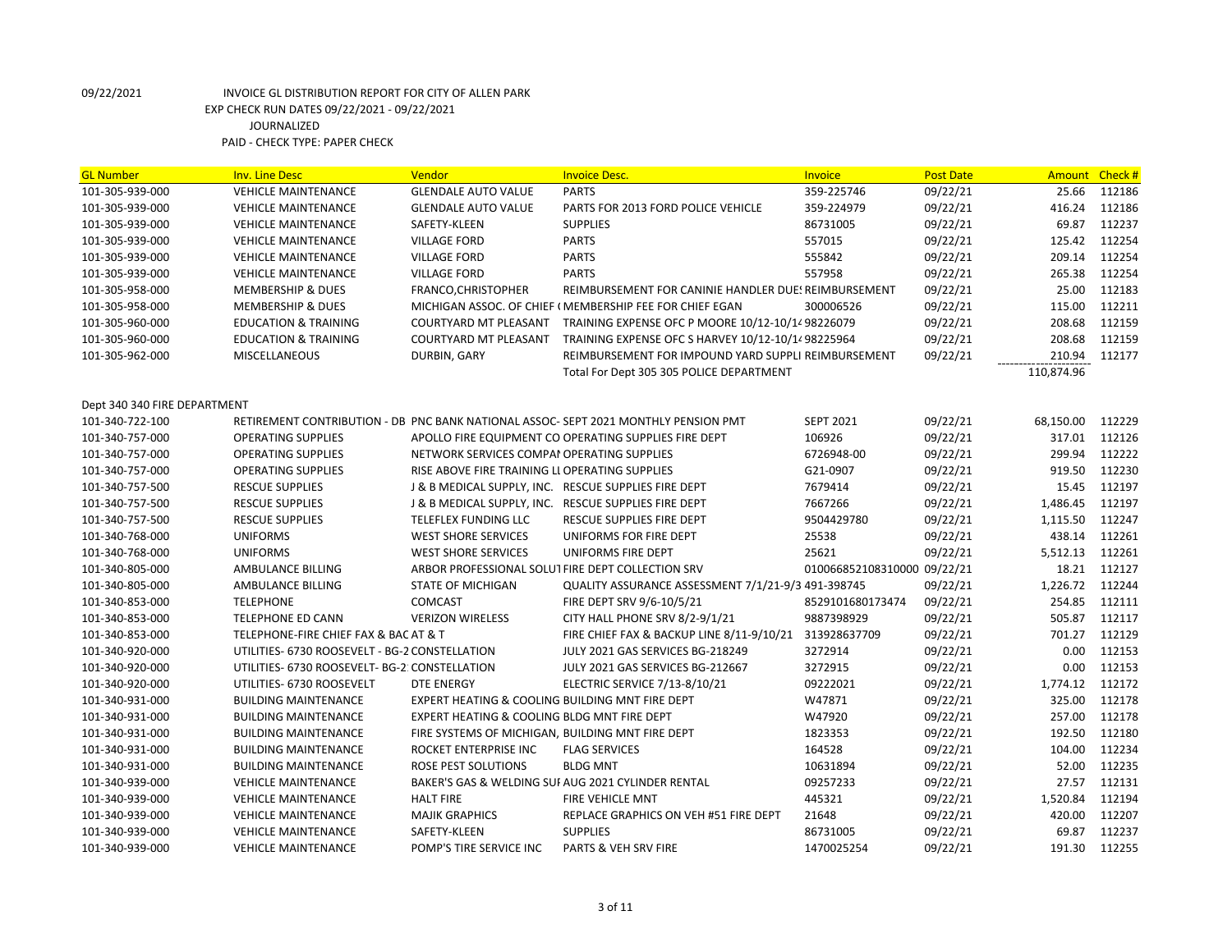| <b>GL Number</b>                                | <b>Inv. Line Desc</b>                          | Vendor                                               | <b>Invoice Desc.</b>                                                                | <b>Invoice</b>              | <b>Post Date</b> | Amount Check # |        |
|-------------------------------------------------|------------------------------------------------|------------------------------------------------------|-------------------------------------------------------------------------------------|-----------------------------|------------------|----------------|--------|
| 101-305-939-000                                 | <b>VEHICLE MAINTENANCE</b>                     | <b>GLENDALE AUTO VALUE</b>                           | <b>PARTS</b>                                                                        | 359-225746                  | 09/22/21         | 25.66          | 112186 |
| 101-305-939-000                                 | <b>VEHICLE MAINTENANCE</b>                     | <b>GLENDALE AUTO VALUE</b>                           | PARTS FOR 2013 FORD POLICE VEHICLE                                                  | 359-224979                  | 09/22/21         | 416.24         | 112186 |
| 101-305-939-000                                 | <b>VEHICLE MAINTENANCE</b>                     | SAFETY-KLEEN                                         | <b>SUPPLIES</b>                                                                     | 86731005                    | 09/22/21         | 69.87          | 112237 |
| 101-305-939-000                                 | <b>VEHICLE MAINTENANCE</b>                     | <b>VILLAGE FORD</b>                                  | <b>PARTS</b>                                                                        | 557015                      | 09/22/21         | 125.42         | 112254 |
| 101-305-939-000                                 | <b>VEHICLE MAINTENANCE</b>                     | <b>VILLAGE FORD</b>                                  | <b>PARTS</b>                                                                        | 555842                      | 09/22/21         | 209.14         | 112254 |
| 101-305-939-000                                 | <b>VEHICLE MAINTENANCE</b>                     | <b>VILLAGE FORD</b>                                  | <b>PARTS</b>                                                                        | 557958                      | 09/22/21         | 265.38         | 112254 |
| 101-305-958-000                                 | <b>MEMBERSHIP &amp; DUES</b>                   | FRANCO, CHRISTOPHER                                  | REIMBURSEMENT FOR CANINIE HANDLER DUES REIMBURSEMENT                                |                             | 09/22/21         | 25.00          | 112183 |
| 101-305-958-000                                 | <b>MEMBERSHIP &amp; DUES</b>                   |                                                      | MICHIGAN ASSOC. OF CHIEF (MEMBERSHIP FEE FOR CHIEF EGAN                             | 300006526                   | 09/22/21         | 115.00         | 112211 |
| 101-305-960-000                                 | <b>EDUCATION &amp; TRAINING</b>                | <b>COURTYARD MT PLEASANT</b>                         | TRAINING EXPENSE OFC P MOORE 10/12-10/1498226079                                    |                             | 09/22/21         | 208.68         | 112159 |
| 101-305-960-000                                 | <b>EDUCATION &amp; TRAINING</b>                | COURTYARD MT PLEASANT                                | TRAINING EXPENSE OFC S HARVEY 10/12-10/14 98225964                                  |                             | 09/22/21         | 208.68         | 112159 |
| 101-305-962-000                                 | <b>MISCELLANEOUS</b>                           | DURBIN, GARY                                         | REIMBURSEMENT FOR IMPOUND YARD SUPPLI REIMBURSEMENT                                 |                             | 09/22/21         | 210.94         | 112177 |
|                                                 |                                                |                                                      | Total For Dept 305 305 POLICE DEPARTMENT                                            |                             |                  | 110,874.96     |        |
|                                                 |                                                |                                                      |                                                                                     |                             |                  |                |        |
| Dept 340 340 FIRE DEPARTMENT<br>101-340-722-100 |                                                |                                                      | RETIREMENT CONTRIBUTION - DB PNC BANK NATIONAL ASSOC- SEPT 2021 MONTHLY PENSION PMT | <b>SEPT 2021</b>            | 09/22/21         | 68,150.00      | 112229 |
| 101-340-757-000                                 | <b>OPERATING SUPPLIES</b>                      |                                                      | APOLLO FIRE EQUIPMENT CO OPERATING SUPPLIES FIRE DEPT                               | 106926                      | 09/22/21         | 317.01         | 112126 |
|                                                 |                                                |                                                      |                                                                                     |                             |                  | 299.94         | 112222 |
| 101-340-757-000                                 | <b>OPERATING SUPPLIES</b>                      | NETWORK SERVICES COMPAI OPERATING SUPPLIES           |                                                                                     | 6726948-00                  | 09/22/21         | 919.50         | 112230 |
| 101-340-757-000                                 | <b>OPERATING SUPPLIES</b>                      | RISE ABOVE FIRE TRAINING LI OPERATING SUPPLIES       |                                                                                     | G21-0907                    | 09/22/21         |                |        |
| 101-340-757-500                                 | <b>RESCUE SUPPLIES</b>                         | J & B MEDICAL SUPPLY, INC. RESCUE SUPPLIES FIRE DEPT |                                                                                     | 7679414                     | 09/22/21         | 15.45          | 112197 |
| 101-340-757-500                                 | <b>RESCUE SUPPLIES</b>                         | J & B MEDICAL SUPPLY, INC. RESCUE SUPPLIES FIRE DEPT |                                                                                     | 7667266                     | 09/22/21         | 1,486.45       | 112197 |
| 101-340-757-500                                 | <b>RESCUE SUPPLIES</b>                         | TELEFLEX FUNDING LLC                                 | RESCUE SUPPLIES FIRE DEPT                                                           | 9504429780                  | 09/22/21         | 1,115.50       | 112247 |
| 101-340-768-000                                 | <b>UNIFORMS</b>                                | <b>WEST SHORE SERVICES</b>                           | UNIFORMS FOR FIRE DEPT                                                              | 25538                       | 09/22/21         | 438.14         | 112261 |
| 101-340-768-000                                 | <b>UNIFORMS</b>                                | <b>WEST SHORE SERVICES</b>                           | UNIFORMS FIRE DEPT                                                                  | 25621                       | 09/22/21         | 5,512.13       | 112261 |
| 101-340-805-000                                 | AMBULANCE BILLING                              | ARBOR PROFESSIONAL SOLUT FIRE DEPT COLLECTION SRV    |                                                                                     | 010066852108310000 09/22/21 |                  | 18.21          | 112127 |
| 101-340-805-000                                 | AMBULANCE BILLING                              | STATE OF MICHIGAN                                    | QUALITY ASSURANCE ASSESSMENT 7/1/21-9/3 491-398745                                  |                             | 09/22/21         | 1,226.72       | 112244 |
| 101-340-853-000                                 | <b>TELEPHONE</b>                               | COMCAST                                              | FIRE DEPT SRV 9/6-10/5/21                                                           | 8529101680173474            | 09/22/21         | 254.85         | 112111 |
| 101-340-853-000                                 | <b>TELEPHONE ED CANN</b>                       | <b>VERIZON WIRELESS</b>                              | CITY HALL PHONE SRV 8/2-9/1/21                                                      | 9887398929                  | 09/22/21         | 505.87         | 112117 |
| 101-340-853-000                                 | TELEPHONE-FIRE CHIEF FAX & BAC AT & T          |                                                      | FIRE CHIEF FAX & BACKUP LINE 8/11-9/10/21                                           | 313928637709                | 09/22/21         | 701.27         | 112129 |
| 101-340-920-000                                 | UTILITIES- 6730 ROOSEVELT - BG-2 CONSTELLATION |                                                      | JULY 2021 GAS SERVICES BG-218249                                                    | 3272914                     | 09/22/21         | 0.00           | 112153 |
| 101-340-920-000                                 | UTILITIES- 6730 ROOSEVELT- BG-2: CONSTELLATION |                                                      | JULY 2021 GAS SERVICES BG-212667                                                    | 3272915                     | 09/22/21         | 0.00           | 112153 |
| 101-340-920-000                                 | UTILITIES- 6730 ROOSEVELT                      | <b>DTE ENERGY</b>                                    | ELECTRIC SERVICE 7/13-8/10/21                                                       | 09222021                    | 09/22/21         | 1,774.12       | 112172 |
| 101-340-931-000                                 | <b>BUILDING MAINTENANCE</b>                    | EXPERT HEATING & COOLING BUILDING MNT FIRE DEPT      |                                                                                     | W47871                      | 09/22/21         | 325.00         | 112178 |
| 101-340-931-000                                 | <b>BUILDING MAINTENANCE</b>                    | EXPERT HEATING & COOLING BLDG MNT FIRE DEPT          |                                                                                     | W47920                      | 09/22/21         | 257.00         | 112178 |
| 101-340-931-000                                 | <b>BUILDING MAINTENANCE</b>                    | FIRE SYSTEMS OF MICHIGAN, BUILDING MNT FIRE DEPT     |                                                                                     | 1823353                     | 09/22/21         | 192.50         | 112180 |
| 101-340-931-000                                 | <b>BUILDING MAINTENANCE</b>                    | ROCKET ENTERPRISE INC                                | <b>FLAG SERVICES</b>                                                                | 164528                      | 09/22/21         | 104.00         | 112234 |
| 101-340-931-000                                 | <b>BUILDING MAINTENANCE</b>                    | <b>ROSE PEST SOLUTIONS</b>                           | <b>BLDG MNT</b>                                                                     | 10631894                    | 09/22/21         | 52.00          | 112235 |
| 101-340-939-000                                 | <b>VEHICLE MAINTENANCE</b>                     |                                                      | BAKER'S GAS & WELDING SUI AUG 2021 CYLINDER RENTAL                                  | 09257233                    | 09/22/21         | 27.57          | 112131 |
| 101-340-939-000                                 | <b>VEHICLE MAINTENANCE</b>                     | <b>HALT FIRE</b>                                     | <b>FIRE VEHICLE MNT</b>                                                             | 445321                      | 09/22/21         | 1,520.84       | 112194 |
| 101-340-939-000                                 | <b>VEHICLE MAINTENANCE</b>                     | <b>MAJIK GRAPHICS</b>                                | REPLACE GRAPHICS ON VEH #51 FIRE DEPT                                               | 21648                       | 09/22/21         | 420.00         | 112207 |
| 101-340-939-000                                 | <b>VEHICLE MAINTENANCE</b>                     | SAFETY-KLEEN                                         | <b>SUPPLIES</b>                                                                     | 86731005                    | 09/22/21         | 69.87          | 112237 |
| 101-340-939-000                                 | <b>VEHICLE MAINTENANCE</b>                     | POMP'S TIRE SERVICE INC                              | PARTS & VEH SRV FIRE                                                                | 1470025254                  | 09/22/21         | 191.30         | 112255 |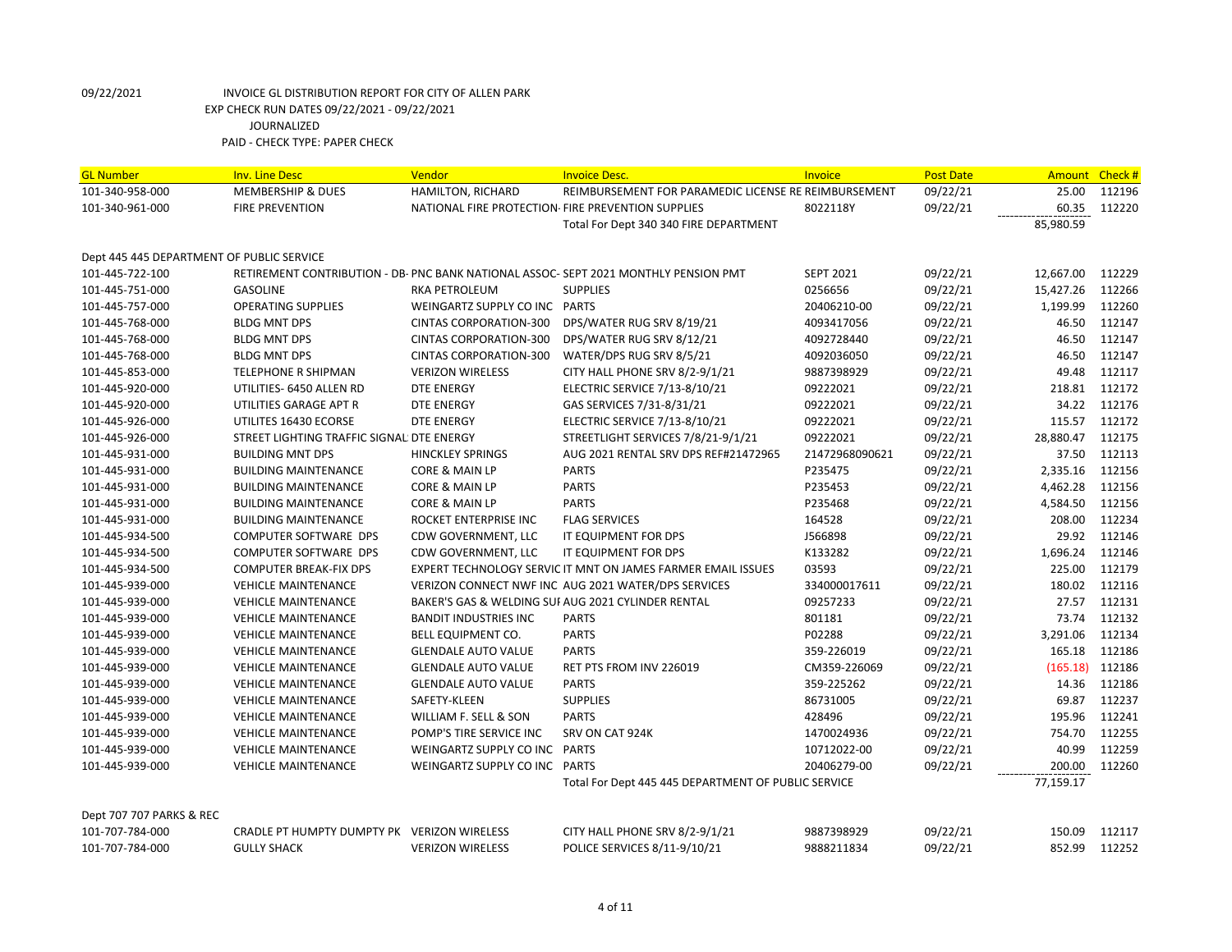| <b>GL Number</b>                          | <b>Inv. Line Desc</b>                       | Vendor                        | <b>Invoice Desc.</b>                                                                | Invoice          | <b>Post Date</b> | <b>Amount</b> | Check# |
|-------------------------------------------|---------------------------------------------|-------------------------------|-------------------------------------------------------------------------------------|------------------|------------------|---------------|--------|
| 101-340-958-000                           | <b>MEMBERSHIP &amp; DUES</b>                | HAMILTON, RICHARD             | REIMBURSEMENT FOR PARAMEDIC LICENSE RE REIMBURSEMENT                                |                  | 09/22/21         | 25.00         | 112196 |
| 101-340-961-000                           | <b>FIRE PREVENTION</b>                      |                               | NATIONAL FIRE PROTECTION- FIRE PREVENTION SUPPLIES                                  | 8022118Y         | 09/22/21         | 60.35         | 112220 |
|                                           |                                             |                               | Total For Dept 340 340 FIRE DEPARTMENT                                              |                  |                  | 85,980.59     |        |
|                                           |                                             |                               |                                                                                     |                  |                  |               |        |
| Dept 445 445 DEPARTMENT OF PUBLIC SERVICE |                                             |                               |                                                                                     |                  |                  |               |        |
| 101-445-722-100                           |                                             |                               | RETIREMENT CONTRIBUTION - DB- PNC BANK NATIONAL ASSOC-SEPT 2021 MONTHLY PENSION PMT | <b>SEPT 2021</b> | 09/22/21         | 12,667.00     | 112229 |
| 101-445-751-000                           | <b>GASOLINE</b>                             | RKA PETROLEUM                 | <b>SUPPLIES</b>                                                                     | 0256656          | 09/22/21         | 15,427.26     | 112266 |
| 101-445-757-000                           | <b>OPERATING SUPPLIES</b>                   | WEINGARTZ SUPPLY CO INC PARTS |                                                                                     | 20406210-00      | 09/22/21         | 1,199.99      | 112260 |
| 101-445-768-000                           | <b>BLDG MNT DPS</b>                         | <b>CINTAS CORPORATION-300</b> | DPS/WATER RUG SRV 8/19/21                                                           | 4093417056       | 09/22/21         | 46.50         | 112147 |
| 101-445-768-000                           | <b>BLDG MNT DPS</b>                         | <b>CINTAS CORPORATION-300</b> | DPS/WATER RUG SRV 8/12/21                                                           | 4092728440       | 09/22/21         | 46.50         | 112147 |
| 101-445-768-000                           | <b>BLDG MNT DPS</b>                         | <b>CINTAS CORPORATION-300</b> | WATER/DPS RUG SRV 8/5/21                                                            | 4092036050       | 09/22/21         | 46.50         | 112147 |
| 101-445-853-000                           | TELEPHONE R SHIPMAN                         | <b>VERIZON WIRELESS</b>       | CITY HALL PHONE SRV 8/2-9/1/21                                                      | 9887398929       | 09/22/21         | 49.48         | 112117 |
| 101-445-920-000                           | UTILITIES- 6450 ALLEN RD                    | <b>DTE ENERGY</b>             | ELECTRIC SERVICE 7/13-8/10/21                                                       | 09222021         | 09/22/21         | 218.81        | 112172 |
| 101-445-920-000                           | UTILITIES GARAGE APT R                      | <b>DTE ENERGY</b>             | GAS SERVICES 7/31-8/31/21                                                           | 09222021         | 09/22/21         | 34.22         | 112176 |
| 101-445-926-000                           | UTILITES 16430 ECORSE                       | <b>DTE ENERGY</b>             | ELECTRIC SERVICE 7/13-8/10/21                                                       | 09222021         | 09/22/21         | 115.57        | 112172 |
| 101-445-926-000                           | STREET LIGHTING TRAFFIC SIGNAL DTE ENERGY   |                               | STREETLIGHT SERVICES 7/8/21-9/1/21                                                  | 09222021         | 09/22/21         | 28,880.47     | 112175 |
| 101-445-931-000                           | <b>BUILDING MNT DPS</b>                     | <b>HINCKLEY SPRINGS</b>       | AUG 2021 RENTAL SRV DPS REF#21472965                                                | 21472968090621   | 09/22/21         | 37.50         | 112113 |
| 101-445-931-000                           | <b>BUILDING MAINTENANCE</b>                 | CORE & MAIN LP                | <b>PARTS</b>                                                                        | P235475          | 09/22/21         | 2,335.16      | 112156 |
| 101-445-931-000                           | <b>BUILDING MAINTENANCE</b>                 | CORE & MAIN LP                | <b>PARTS</b>                                                                        | P235453          | 09/22/21         | 4,462.28      | 112156 |
| 101-445-931-000                           | <b>BUILDING MAINTENANCE</b>                 | CORE & MAIN LP                | <b>PARTS</b>                                                                        | P235468          | 09/22/21         | 4,584.50      | 112156 |
| 101-445-931-000                           | <b>BUILDING MAINTENANCE</b>                 | ROCKET ENTERPRISE INC         | <b>FLAG SERVICES</b>                                                                | 164528           | 09/22/21         | 208.00        | 112234 |
| 101-445-934-500                           | COMPUTER SOFTWARE DPS                       | CDW GOVERNMENT, LLC           | IT EQUIPMENT FOR DPS                                                                | J566898          | 09/22/21         | 29.92         | 112146 |
| 101-445-934-500                           | COMPUTER SOFTWARE DPS                       | CDW GOVERNMENT, LLC           | IT EQUIPMENT FOR DPS                                                                | K133282          | 09/22/21         | 1,696.24      | 112146 |
| 101-445-934-500                           | <b>COMPUTER BREAK-FIX DPS</b>               |                               | EXPERT TECHNOLOGY SERVIC IT MNT ON JAMES FARMER EMAIL ISSUES                        | 03593            | 09/22/21         | 225.00        | 112179 |
| 101-445-939-000                           | <b>VEHICLE MAINTENANCE</b>                  |                               | VERIZON CONNECT NWF INC AUG 2021 WATER/DPS SERVICES                                 | 334000017611     | 09/22/21         | 180.02        | 112116 |
| 101-445-939-000                           | <b>VEHICLE MAINTENANCE</b>                  |                               | BAKER'S GAS & WELDING SUI AUG 2021 CYLINDER RENTAL                                  | 09257233         | 09/22/21         | 27.57         | 112131 |
| 101-445-939-000                           | <b>VEHICLE MAINTENANCE</b>                  | <b>BANDIT INDUSTRIES INC</b>  | <b>PARTS</b>                                                                        | 801181           | 09/22/21         | 73.74         | 112132 |
| 101-445-939-000                           | <b>VEHICLE MAINTENANCE</b>                  | BELL EQUIPMENT CO.            | <b>PARTS</b>                                                                        | P02288           | 09/22/21         | 3,291.06      | 112134 |
| 101-445-939-000                           | <b>VEHICLE MAINTENANCE</b>                  | <b>GLENDALE AUTO VALUE</b>    | <b>PARTS</b>                                                                        | 359-226019       | 09/22/21         | 165.18        | 112186 |
| 101-445-939-000                           | <b>VEHICLE MAINTENANCE</b>                  | <b>GLENDALE AUTO VALUE</b>    | RET PTS FROM INV 226019                                                             | CM359-226069     | 09/22/21         | (165.18)      | 112186 |
| 101-445-939-000                           | <b>VEHICLE MAINTENANCE</b>                  | <b>GLENDALE AUTO VALUE</b>    | <b>PARTS</b>                                                                        | 359-225262       | 09/22/21         | 14.36         | 112186 |
| 101-445-939-000                           | <b>VEHICLE MAINTENANCE</b>                  | SAFETY-KLEEN                  | <b>SUPPLIES</b>                                                                     | 86731005         | 09/22/21         | 69.87         | 112237 |
| 101-445-939-000                           | <b>VEHICLE MAINTENANCE</b>                  | WILLIAM F. SELL & SON         | <b>PARTS</b>                                                                        | 428496           | 09/22/21         | 195.96        | 112241 |
| 101-445-939-000                           | <b>VEHICLE MAINTENANCE</b>                  | POMP'S TIRE SERVICE INC       | SRV ON CAT 924K                                                                     | 1470024936       | 09/22/21         | 754.70        | 112255 |
| 101-445-939-000                           | <b>VEHICLE MAINTENANCE</b>                  | WEINGARTZ SUPPLY CO INC PARTS |                                                                                     | 10712022-00      | 09/22/21         | 40.99         | 112259 |
| 101-445-939-000                           | <b>VEHICLE MAINTENANCE</b>                  | WEINGARTZ SUPPLY CO INC PARTS |                                                                                     | 20406279-00      | 09/22/21         | 200.00        | 112260 |
|                                           |                                             |                               | Total For Dept 445 445 DEPARTMENT OF PUBLIC SERVICE                                 |                  |                  | 77,159.17     |        |
|                                           |                                             |                               |                                                                                     |                  |                  |               |        |
| Dept 707 707 PARKS & REC                  |                                             |                               |                                                                                     |                  |                  |               |        |
| 101-707-784-000                           | CRADLE PT HUMPTY DUMPTY PK VERIZON WIRELESS |                               | CITY HALL PHONE SRV 8/2-9/1/21                                                      | 9887398929       | 09/22/21         | 150.09        | 112117 |
| 101-707-784-000                           | <b>GULLY SHACK</b>                          | <b>VERIZON WIRELESS</b>       | POLICE SERVICES 8/11-9/10/21                                                        | 9888211834       | 09/22/21         | 852.99        | 112252 |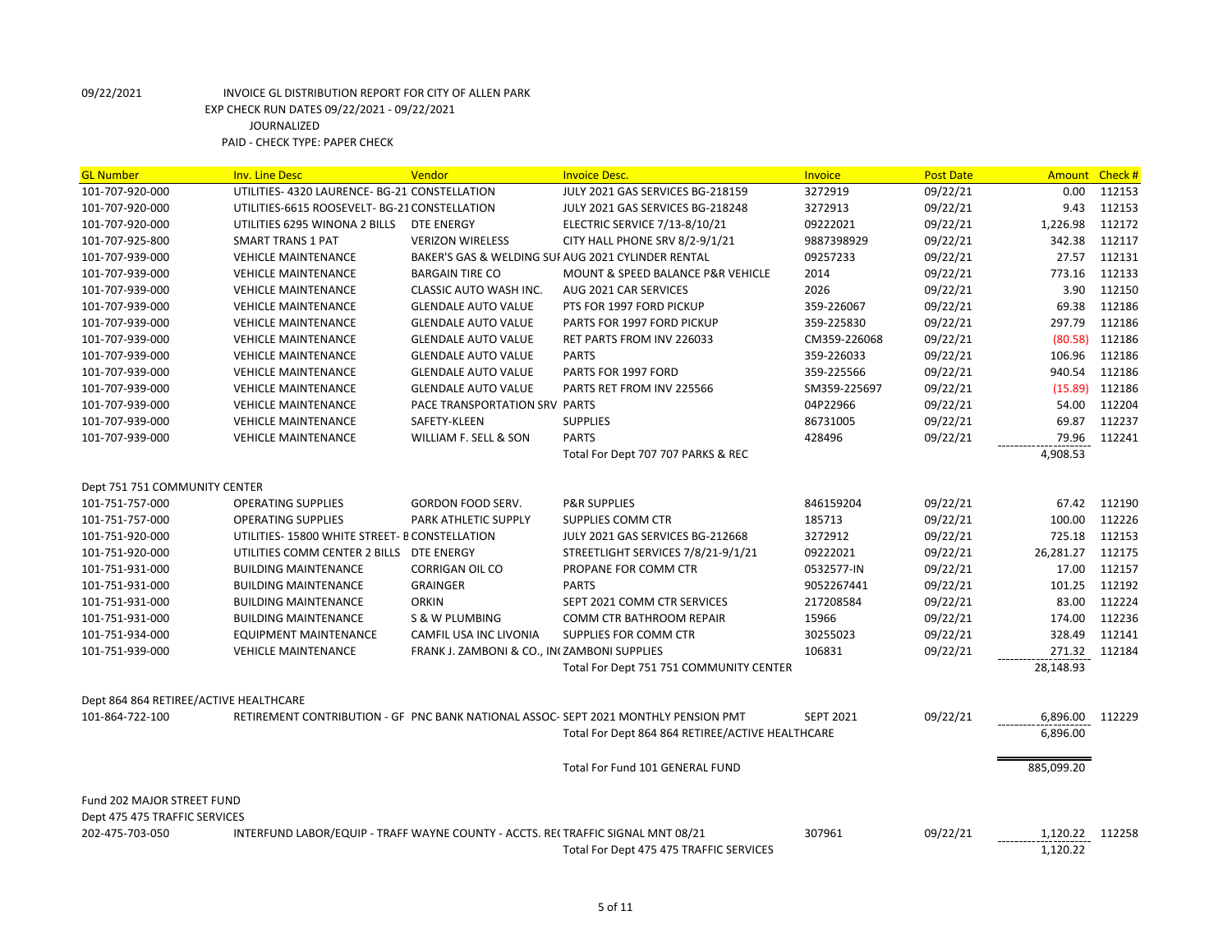| <b>GL Number</b>                       | <b>Inv. Line Desc</b>                                                           | Vendor                                      | <b>Invoice Desc.</b>                                                               | <b>Invoice</b>   | <b>Post Date</b> | <b>Amount</b> | Check# |
|----------------------------------------|---------------------------------------------------------------------------------|---------------------------------------------|------------------------------------------------------------------------------------|------------------|------------------|---------------|--------|
| 101-707-920-000                        | UTILITIES- 4320 LAURENCE- BG-21 CONSTELLATION                                   |                                             | JULY 2021 GAS SERVICES BG-218159                                                   | 3272919          | 09/22/21         | 0.00          | 112153 |
| 101-707-920-000                        | UTILITIES-6615 ROOSEVELT- BG-21 CONSTELLATION                                   |                                             | JULY 2021 GAS SERVICES BG-218248                                                   | 3272913          | 09/22/21         | 9.43          | 112153 |
| 101-707-920-000                        | UTILITIES 6295 WINONA 2 BILLS                                                   | DTE ENERGY                                  | ELECTRIC SERVICE 7/13-8/10/21                                                      | 09222021         | 09/22/21         | 1,226.98      | 112172 |
| 101-707-925-800                        | <b>SMART TRANS 1 PAT</b>                                                        | <b>VERIZON WIRELESS</b>                     | CITY HALL PHONE SRV 8/2-9/1/21                                                     | 9887398929       | 09/22/21         | 342.38        | 112117 |
| 101-707-939-000                        | <b>VEHICLE MAINTENANCE</b>                                                      |                                             | BAKER'S GAS & WELDING SUI AUG 2021 CYLINDER RENTAL                                 | 09257233         | 09/22/21         | 27.57         | 112131 |
| 101-707-939-000                        | <b>VEHICLE MAINTENANCE</b>                                                      | <b>BARGAIN TIRE CO</b>                      | <b>MOUNT &amp; SPEED BALANCE P&amp;R VEHICLE</b>                                   | 2014             | 09/22/21         | 773.16        | 112133 |
| 101-707-939-000                        | <b>VEHICLE MAINTENANCE</b>                                                      | CLASSIC AUTO WASH INC.                      | AUG 2021 CAR SERVICES                                                              | 2026             | 09/22/21         | 3.90          | 112150 |
| 101-707-939-000                        | <b>VEHICLE MAINTENANCE</b>                                                      | <b>GLENDALE AUTO VALUE</b>                  | PTS FOR 1997 FORD PICKUP                                                           | 359-226067       | 09/22/21         | 69.38         | 112186 |
| 101-707-939-000                        | <b>VEHICLE MAINTENANCE</b>                                                      | <b>GLENDALE AUTO VALUE</b>                  | PARTS FOR 1997 FORD PICKUP                                                         | 359-225830       | 09/22/21         | 297.79        | 112186 |
| 101-707-939-000                        | <b>VEHICLE MAINTENANCE</b>                                                      | <b>GLENDALE AUTO VALUE</b>                  | <b>RET PARTS FROM INV 226033</b>                                                   | CM359-226068     | 09/22/21         | (80.58)       | 112186 |
| 101-707-939-000                        | <b>VEHICLE MAINTENANCE</b>                                                      | <b>GLENDALE AUTO VALUE</b>                  | <b>PARTS</b>                                                                       | 359-226033       | 09/22/21         | 106.96        | 112186 |
| 101-707-939-000                        | <b>VEHICLE MAINTENANCE</b>                                                      | <b>GLENDALE AUTO VALUE</b>                  | PARTS FOR 1997 FORD                                                                | 359-225566       | 09/22/21         | 940.54        | 112186 |
| 101-707-939-000                        | <b>VEHICLE MAINTENANCE</b>                                                      | <b>GLENDALE AUTO VALUE</b>                  | PARTS RET FROM INV 225566                                                          | SM359-225697     | 09/22/21         | (15.89)       | 112186 |
| 101-707-939-000                        | <b>VEHICLE MAINTENANCE</b>                                                      | PACE TRANSPORTATION SRV PARTS               |                                                                                    | 04P22966         | 09/22/21         | 54.00         | 112204 |
| 101-707-939-000                        | <b>VEHICLE MAINTENANCE</b>                                                      | SAFETY-KLEEN                                | <b>SUPPLIES</b>                                                                    | 86731005         | 09/22/21         | 69.87         | 112237 |
| 101-707-939-000                        | <b>VEHICLE MAINTENANCE</b>                                                      | WILLIAM F. SELL & SON                       | <b>PARTS</b>                                                                       | 428496           | 09/22/21         | 79.96         | 112241 |
|                                        |                                                                                 |                                             | Total For Dept 707 707 PARKS & REC                                                 |                  |                  | 4,908.53      |        |
|                                        |                                                                                 |                                             |                                                                                    |                  |                  |               |        |
| Dept 751 751 COMMUNITY CENTER          |                                                                                 |                                             |                                                                                    |                  |                  |               |        |
| 101-751-757-000                        | <b>OPERATING SUPPLIES</b>                                                       | GORDON FOOD SERV.                           | <b>P&amp;R SUPPLIES</b>                                                            | 846159204        | 09/22/21         | 67.42         | 112190 |
| 101-751-757-000                        | <b>OPERATING SUPPLIES</b>                                                       | PARK ATHLETIC SUPPLY                        | <b>SUPPLIES COMM CTR</b>                                                           | 185713           | 09/22/21         | 100.00        | 112226 |
| 101-751-920-000                        | UTILITIES-15800 WHITE STREET- B CONSTELLATION                                   |                                             | JULY 2021 GAS SERVICES BG-212668                                                   | 3272912          | 09/22/21         | 725.18        | 112153 |
| 101-751-920-000                        | UTILITIES COMM CENTER 2 BILLS                                                   | <b>DTE ENERGY</b>                           | STREETLIGHT SERVICES 7/8/21-9/1/21                                                 | 09222021         | 09/22/21         | 26,281.27     | 112175 |
| 101-751-931-000                        | <b>BUILDING MAINTENANCE</b>                                                     | <b>CORRIGAN OIL CO</b>                      | PROPANE FOR COMM CTR                                                               | 0532577-IN       | 09/22/21         | 17.00         | 112157 |
| 101-751-931-000                        | <b>BUILDING MAINTENANCE</b>                                                     | <b>GRAINGER</b>                             | <b>PARTS</b>                                                                       | 9052267441       | 09/22/21         | 101.25        | 112192 |
| 101-751-931-000                        | <b>BUILDING MAINTENANCE</b>                                                     | <b>ORKIN</b>                                | SEPT 2021 COMM CTR SERVICES                                                        | 217208584        | 09/22/21         | 83.00         | 112224 |
| 101-751-931-000                        | <b>BUILDING MAINTENANCE</b>                                                     | S & W PLUMBING                              | COMM CTR BATHROOM REPAIR                                                           | 15966            | 09/22/21         | 174.00        | 112236 |
| 101-751-934-000                        | <b>EQUIPMENT MAINTENANCE</b>                                                    | CAMFIL USA INC LIVONIA                      | SUPPLIES FOR COMM CTR                                                              | 30255023         | 09/22/21         | 328.49        | 112141 |
| 101-751-939-000                        | <b>VEHICLE MAINTENANCE</b>                                                      | FRANK J. ZAMBONI & CO., IN ZAMBONI SUPPLIES |                                                                                    | 106831           | 09/22/21         | 271.32        | 112184 |
|                                        |                                                                                 |                                             | Total For Dept 751 751 COMMUNITY CENTER                                            |                  |                  | 28,148.93     |        |
|                                        |                                                                                 |                                             |                                                                                    |                  |                  |               |        |
| Dept 864 864 RETIREE/ACTIVE HEALTHCARE |                                                                                 |                                             |                                                                                    |                  |                  |               |        |
| 101-864-722-100                        |                                                                                 |                                             | RETIREMENT CONTRIBUTION - GF PNC BANK NATIONAL ASSOC-SEPT 2021 MONTHLY PENSION PMT | <b>SEPT 2021</b> | 09/22/21         | 6,896.00      | 112229 |
|                                        |                                                                                 |                                             | Total For Dept 864 864 RETIREE/ACTIVE HEALTHCARE                                   |                  |                  | 6,896.00      |        |
|                                        |                                                                                 |                                             |                                                                                    |                  |                  |               |        |
|                                        |                                                                                 |                                             | Total For Fund 101 GENERAL FUND                                                    |                  |                  | 885,099.20    |        |
|                                        |                                                                                 |                                             |                                                                                    |                  |                  |               |        |
| Fund 202 MAJOR STREET FUND             |                                                                                 |                                             |                                                                                    |                  |                  |               |        |
| Dept 475 475 TRAFFIC SERVICES          |                                                                                 |                                             |                                                                                    |                  |                  |               |        |
| 202-475-703-050                        | INTERFUND LABOR/EQUIP - TRAFF WAYNE COUNTY - ACCTS. RECTRAFFIC SIGNAL MNT 08/21 |                                             |                                                                                    | 307961           | 09/22/21         | 1,120.22      | 112258 |
|                                        |                                                                                 |                                             | Total For Dept 475 475 TRAFFIC SERVICES                                            |                  |                  | 1,120.22      |        |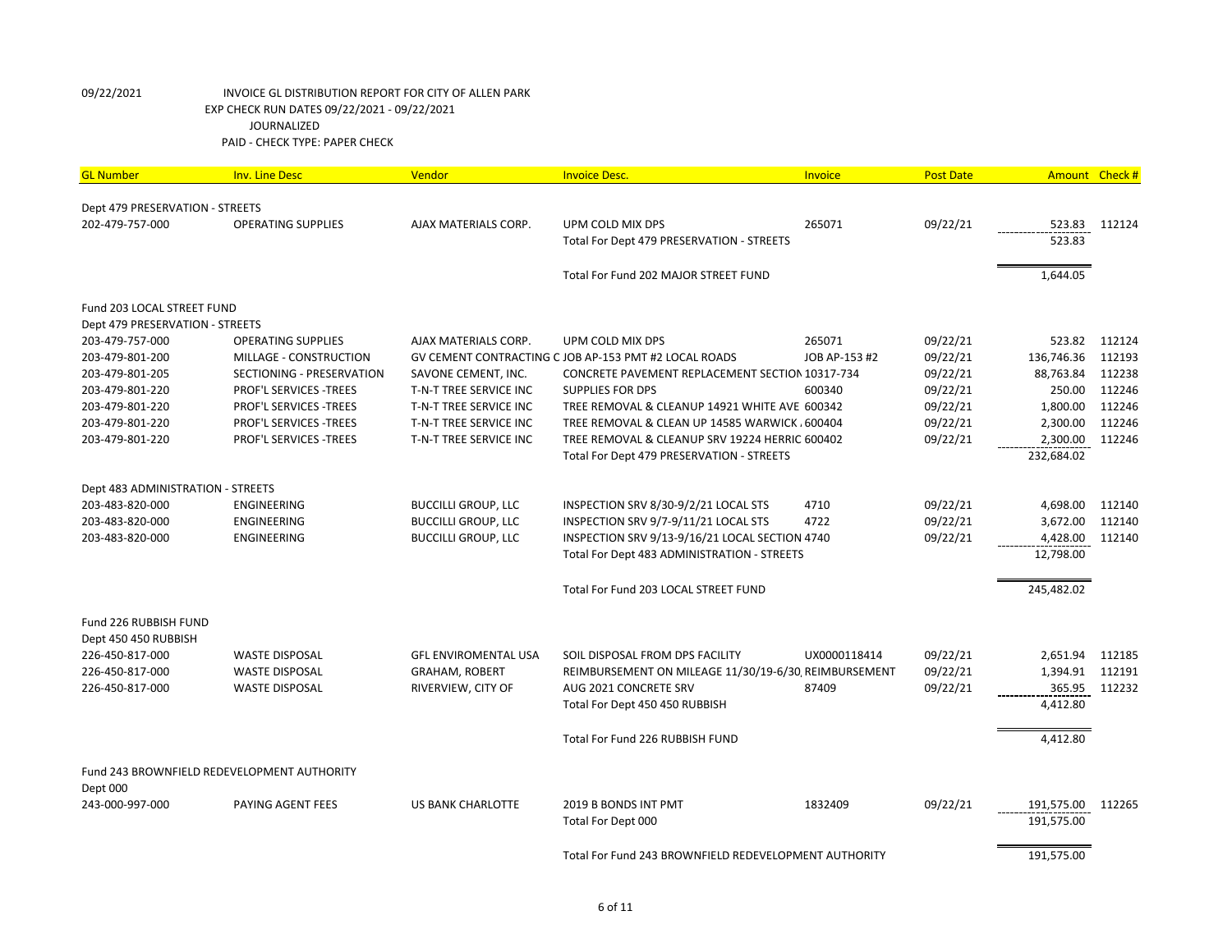| <b>GL Number</b>                  | <b>Inv. Line Desc</b>                       | Vendor                      | <b>Invoice Desc.</b>                                  | <b>Invoice</b> | <b>Post Date</b> | Amount Check #    |        |
|-----------------------------------|---------------------------------------------|-----------------------------|-------------------------------------------------------|----------------|------------------|-------------------|--------|
| Dept 479 PRESERVATION - STREETS   |                                             |                             |                                                       |                |                  |                   |        |
| 202-479-757-000                   | <b>OPERATING SUPPLIES</b>                   | AJAX MATERIALS CORP.        | UPM COLD MIX DPS                                      | 265071         | 09/22/21         | 523.83            | 112124 |
|                                   |                                             |                             | Total For Dept 479 PRESERVATION - STREETS             |                |                  | 523.83            |        |
|                                   |                                             |                             |                                                       |                |                  |                   |        |
|                                   |                                             |                             | Total For Fund 202 MAJOR STREET FUND                  |                |                  | 1,644.05          |        |
| Fund 203 LOCAL STREET FUND        |                                             |                             |                                                       |                |                  |                   |        |
| Dept 479 PRESERVATION - STREETS   |                                             |                             |                                                       |                |                  |                   |        |
| 203-479-757-000                   | <b>OPERATING SUPPLIES</b>                   | AJAX MATERIALS CORP.        | UPM COLD MIX DPS                                      | 265071         | 09/22/21         | 523.82            | 112124 |
| 203-479-801-200                   | MILLAGE - CONSTRUCTION                      |                             | GV CEMENT CONTRACTING C JOB AP-153 PMT #2 LOCAL ROADS | JOB AP-153 #2  | 09/22/21         | 136,746.36        | 112193 |
| 203-479-801-205                   | SECTIONING - PRESERVATION                   | SAVONE CEMENT, INC.         | CONCRETE PAVEMENT REPLACEMENT SECTION 10317-734       |                | 09/22/21         | 88,763.84         | 112238 |
| 203-479-801-220                   | PROF'L SERVICES -TREES                      | T-N-T TREE SERVICE INC      | <b>SUPPLIES FOR DPS</b>                               | 600340         | 09/22/21         | 250.00            | 112246 |
| 203-479-801-220                   | PROF'L SERVICES - TREES                     | T-N-T TREE SERVICE INC      | TREE REMOVAL & CLEANUP 14921 WHITE AVE 600342         |                | 09/22/21         | 1,800.00          | 112246 |
| 203-479-801-220                   | <b>PROF'L SERVICES -TREES</b>               | T-N-T TREE SERVICE INC      | TREE REMOVAL & CLEAN UP 14585 WARWICK, 600404         |                | 09/22/21         | 2,300.00          | 112246 |
| 203-479-801-220                   | PROF'L SERVICES - TREES                     | T-N-T TREE SERVICE INC      | TREE REMOVAL & CLEANUP SRV 19224 HERRIC 600402        |                | 09/22/21         | 2,300.00          | 112246 |
|                                   |                                             |                             | Total For Dept 479 PRESERVATION - STREETS             |                |                  | 232,684.02        |        |
| Dept 483 ADMINISTRATION - STREETS |                                             |                             |                                                       |                |                  |                   |        |
| 203-483-820-000                   | ENGINEERING                                 | <b>BUCCILLI GROUP, LLC</b>  | INSPECTION SRV 8/30-9/2/21 LOCAL STS                  | 4710           | 09/22/21         | 4,698.00          | 112140 |
| 203-483-820-000                   | ENGINEERING                                 | <b>BUCCILLI GROUP, LLC</b>  | INSPECTION SRV 9/7-9/11/21 LOCAL STS                  | 4722           | 09/22/21         | 3,672.00          | 112140 |
| 203-483-820-000                   | <b>ENGINEERING</b>                          | <b>BUCCILLI GROUP, LLC</b>  | INSPECTION SRV 9/13-9/16/21 LOCAL SECTION 4740        |                | 09/22/21         | 4,428.00          | 112140 |
|                                   |                                             |                             | Total For Dept 483 ADMINISTRATION - STREETS           |                |                  | 12,798.00         |        |
|                                   |                                             |                             |                                                       |                |                  |                   |        |
|                                   |                                             |                             | Total For Fund 203 LOCAL STREET FUND                  |                |                  | 245,482.02        |        |
| Fund 226 RUBBISH FUND             |                                             |                             |                                                       |                |                  |                   |        |
| Dept 450 450 RUBBISH              |                                             |                             |                                                       |                |                  |                   |        |
| 226-450-817-000                   | <b>WASTE DISPOSAL</b>                       | <b>GFL ENVIROMENTAL USA</b> | SOIL DISPOSAL FROM DPS FACILITY                       | UX0000118414   | 09/22/21         | 2,651.94          | 112185 |
| 226-450-817-000                   | <b>WASTE DISPOSAL</b>                       | <b>GRAHAM, ROBERT</b>       | REIMBURSEMENT ON MILEAGE 11/30/19-6/30, REIMBURSEMENT |                | 09/22/21         | 1,394.91          | 112191 |
| 226-450-817-000                   | <b>WASTE DISPOSAL</b>                       | RIVERVIEW, CITY OF          | AUG 2021 CONCRETE SRV                                 | 87409          | 09/22/21         | 365.95            | 112232 |
|                                   |                                             |                             | Total For Dept 450 450 RUBBISH                        |                |                  | 4,412.80          |        |
|                                   |                                             |                             | Total For Fund 226 RUBBISH FUND                       |                |                  | 4,412.80          |        |
|                                   |                                             |                             |                                                       |                |                  |                   |        |
| Dept 000                          | Fund 243 BROWNFIELD REDEVELOPMENT AUTHORITY |                             |                                                       |                |                  |                   |        |
| 243-000-997-000                   | PAYING AGENT FEES                           | <b>US BANK CHARLOTTE</b>    | 2019 B BONDS INT PMT                                  | 1832409        | 09/22/21         | 191,575.00 112265 |        |
|                                   |                                             |                             | Total For Dept 000                                    |                |                  | 191,575.00        |        |
|                                   |                                             |                             |                                                       |                |                  |                   |        |
|                                   |                                             |                             | Total For Fund 243 BROWNFIELD REDEVELOPMENT AUTHORITY |                |                  | 191,575.00        |        |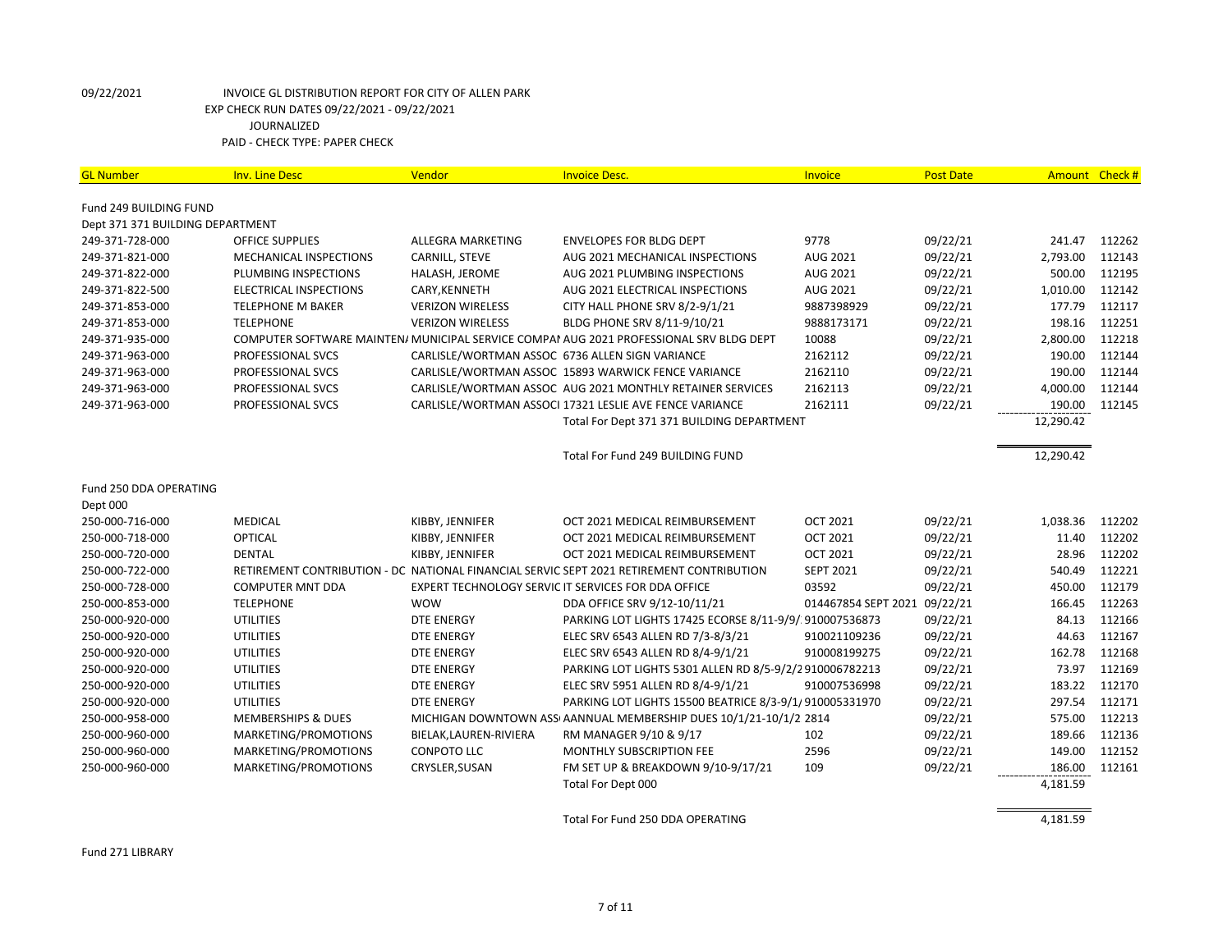| <b>GL Number</b>                                           | <b>Inv. Line Desc</b>                  | Vendor                  | <b>Invoice Desc.</b>                                                                     | <b>Invoice</b>      | <b>Post Date</b> | Amount Check # |        |
|------------------------------------------------------------|----------------------------------------|-------------------------|------------------------------------------------------------------------------------------|---------------------|------------------|----------------|--------|
|                                                            |                                        |                         |                                                                                          |                     |                  |                |        |
| Fund 249 BUILDING FUND<br>Dept 371 371 BUILDING DEPARTMENT |                                        |                         |                                                                                          |                     |                  |                |        |
| 249-371-728-000                                            | <b>OFFICE SUPPLIES</b>                 | ALLEGRA MARKETING       | <b>ENVELOPES FOR BLDG DEPT</b>                                                           | 9778                | 09/22/21         | 241.47         | 112262 |
| 249-371-821-000                                            | MECHANICAL INSPECTIONS                 | CARNILL, STEVE          | AUG 2021 MECHANICAL INSPECTIONS                                                          | AUG 2021            | 09/22/21         | 2,793.00       | 112143 |
| 249-371-822-000                                            | PLUMBING INSPECTIONS                   | HALASH, JEROME          | AUG 2021 PLUMBING INSPECTIONS                                                            | AUG 2021            | 09/22/21         | 500.00         | 112195 |
| 249-371-822-500                                            | ELECTRICAL INSPECTIONS                 | CARY, KENNETH           | AUG 2021 ELECTRICAL INSPECTIONS                                                          | AUG 2021            | 09/22/21         | 1,010.00       | 112142 |
| 249-371-853-000                                            | <b>TELEPHONE M BAKER</b>               | <b>VERIZON WIRELESS</b> | CITY HALL PHONE SRV 8/2-9/1/21                                                           | 9887398929          | 09/22/21         | 177.79         | 112117 |
| 249-371-853-000                                            | <b>TELEPHONE</b>                       | <b>VERIZON WIRELESS</b> | BLDG PHONE SRV 8/11-9/10/21                                                              | 9888173171          | 09/22/21         | 198.16         | 112251 |
| 249-371-935-000                                            |                                        |                         | COMPUTER SOFTWARE MAINTEN/ MUNICIPAL SERVICE COMPAI AUG 2021 PROFESSIONAL SRV BLDG DEPT  | 10088               | 09/22/21         | 2,800.00       | 112218 |
| 249-371-963-000                                            | PROFESSIONAL SVCS                      |                         | CARLISLE/WORTMAN ASSOC 6736 ALLEN SIGN VARIANCE                                          | 2162112             | 09/22/21         | 190.00         | 112144 |
|                                                            |                                        |                         |                                                                                          | 2162110             |                  | 190.00         | 112144 |
| 249-371-963-000                                            | PROFESSIONAL SVCS                      |                         | CARLISLE/WORTMAN ASSOC 15893 WARWICK FENCE VARIANCE                                      | 2162113             | 09/22/21         | 4,000.00       | 112144 |
| 249-371-963-000                                            | PROFESSIONAL SVCS<br>PROFESSIONAL SVCS |                         | CARLISLE/WORTMAN ASSOC AUG 2021 MONTHLY RETAINER SERVICES                                | 2162111             | 09/22/21         |                | 112145 |
| 249-371-963-000                                            |                                        |                         | CARLISLE/WORTMAN ASSOCI 17321 LESLIE AVE FENCE VARIANCE                                  |                     | 09/22/21         | 190.00         |        |
|                                                            |                                        |                         | Total For Dept 371 371 BUILDING DEPARTMENT                                               |                     |                  | 12,290.42      |        |
|                                                            |                                        |                         | Total For Fund 249 BUILDING FUND                                                         |                     |                  | 12,290.42      |        |
| Fund 250 DDA OPERATING                                     |                                        |                         |                                                                                          |                     |                  |                |        |
| Dept 000                                                   |                                        |                         |                                                                                          |                     |                  |                |        |
| 250-000-716-000                                            | <b>MEDICAL</b>                         | KIBBY, JENNIFER         | OCT 2021 MEDICAL REIMBURSEMENT                                                           | <b>OCT 2021</b>     | 09/22/21         | 1,038.36       | 112202 |
| 250-000-718-000                                            | OPTICAL                                | KIBBY, JENNIFER         | OCT 2021 MEDICAL REIMBURSEMENT                                                           | <b>OCT 2021</b>     | 09/22/21         | 11.40          | 112202 |
| 250-000-720-000                                            | <b>DENTAL</b>                          | KIBBY, JENNIFER         | OCT 2021 MEDICAL REIMBURSEMENT                                                           | <b>OCT 2021</b>     | 09/22/21         | 28.96          | 112202 |
| 250-000-722-000                                            |                                        |                         | RETIREMENT CONTRIBUTION - DC NATIONAL FINANCIAL SERVIC SEPT 2021 RETIREMENT CONTRIBUTION | <b>SEPT 2021</b>    | 09/22/21         | 540.49         | 112221 |
| 250-000-728-000                                            | <b>COMPUTER MNT DDA</b>                |                         | EXPERT TECHNOLOGY SERVIC IT SERVICES FOR DDA OFFICE                                      | 03592               | 09/22/21         | 450.00         | 112179 |
| 250-000-853-000                                            | <b>TELEPHONE</b>                       | <b>WOW</b>              | DDA OFFICE SRV 9/12-10/11/21                                                             | 014467854 SEPT 2021 | 09/22/21         | 166.45         | 112263 |
| 250-000-920-000                                            | <b>UTILITIES</b>                       | <b>DTE ENERGY</b>       | PARKING LOT LIGHTS 17425 ECORSE 8/11-9/9/ 910007536873                                   |                     | 09/22/21         | 84.13          | 112166 |
| 250-000-920-000                                            | <b>UTILITIES</b>                       | DTE ENERGY              | ELEC SRV 6543 ALLEN RD 7/3-8/3/21                                                        | 910021109236        | 09/22/21         | 44.63          | 112167 |
| 250-000-920-000                                            | <b>UTILITIES</b>                       | DTE ENERGY              | ELEC SRV 6543 ALLEN RD 8/4-9/1/21                                                        | 910008199275        | 09/22/21         | 162.78         | 112168 |
| 250-000-920-000                                            | <b>UTILITIES</b>                       | <b>DTE ENERGY</b>       | PARKING LOT LIGHTS 5301 ALLEN RD 8/5-9/2/2910006782213                                   |                     | 09/22/21         | 73.97          | 112169 |
| 250-000-920-000                                            | <b>UTILITIES</b>                       | <b>DTE ENERGY</b>       | ELEC SRV 5951 ALLEN RD 8/4-9/1/21                                                        | 910007536998        | 09/22/21         | 183.22         | 112170 |
| 250-000-920-000                                            | UTILITIES                              | <b>DTE ENERGY</b>       | PARKING LOT LIGHTS 15500 BEATRICE 8/3-9/1/910005331970                                   |                     | 09/22/21         | 297.54         | 112171 |
| 250-000-958-000                                            | <b>MEMBERSHIPS &amp; DUES</b>          |                         | MICHIGAN DOWNTOWN ASS AANNUAL MEMBERSHIP DUES 10/1/21-10/1/2 2814                        |                     | 09/22/21         | 575.00         | 112213 |
| 250-000-960-000                                            | MARKETING/PROMOTIONS                   | BIELAK, LAUREN-RIVIERA  | RM MANAGER 9/10 & 9/17                                                                   | 102                 | 09/22/21         | 189.66         | 112136 |
| 250-000-960-000                                            | MARKETING/PROMOTIONS                   | <b>CONPOTO LLC</b>      | MONTHLY SUBSCRIPTION FEE                                                                 | 2596                | 09/22/21         | 149.00         | 112152 |
| 250-000-960-000                                            | MARKETING/PROMOTIONS                   | CRYSLER, SUSAN          | FM SET UP & BREAKDOWN 9/10-9/17/21                                                       | 109                 | 09/22/21         | 186.00         | 112161 |
|                                                            |                                        |                         | Total For Dept 000                                                                       |                     |                  | 4,181.59       |        |
|                                                            |                                        |                         |                                                                                          |                     |                  |                |        |
|                                                            |                                        |                         | Total For Fund 250 DDA OPERATING                                                         |                     |                  | 4,181.59       |        |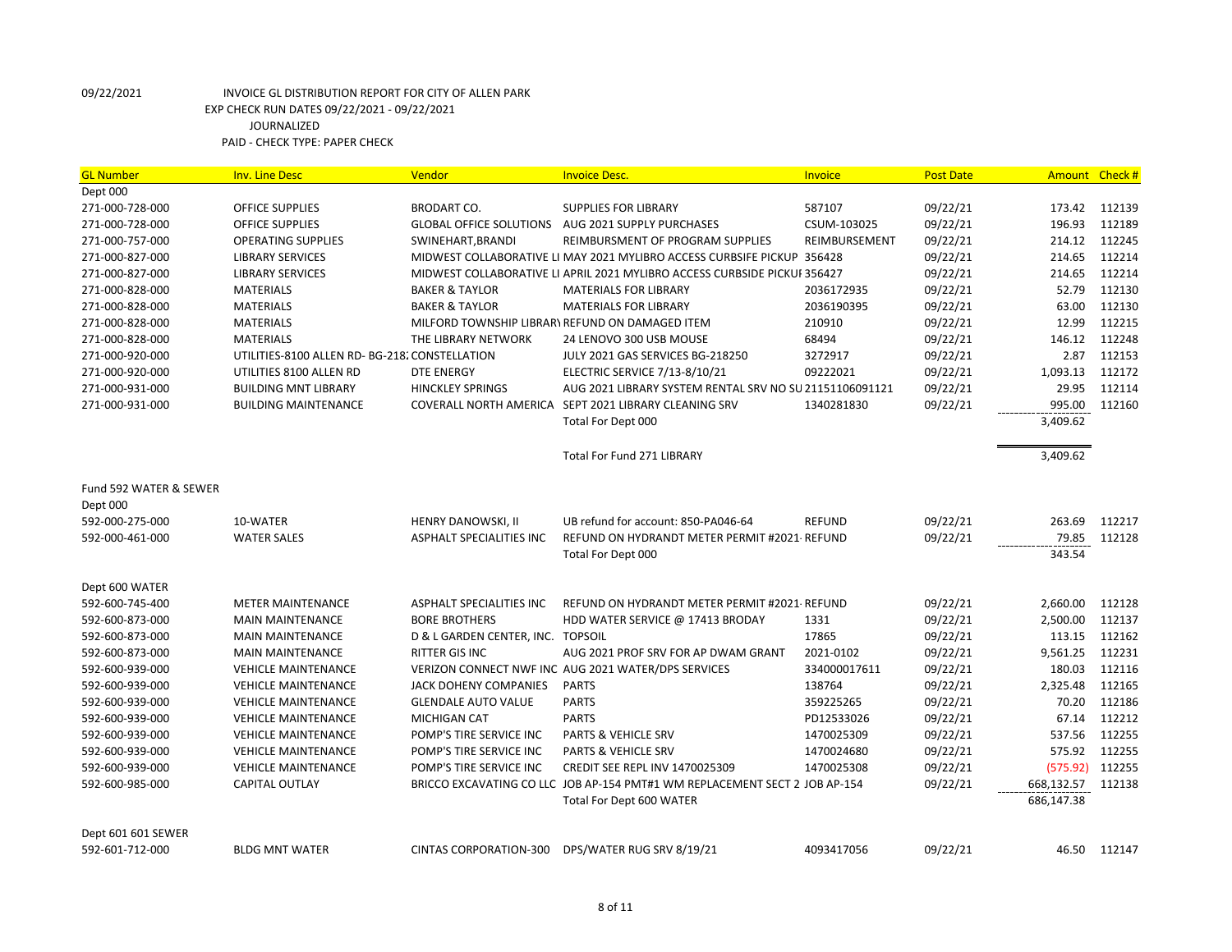| Dept 000<br>271-000-728-000<br>587107<br>09/22/21<br>173.42<br>112139<br><b>OFFICE SUPPLIES</b><br><b>BRODART CO.</b><br><b>SUPPLIES FOR LIBRARY</b><br>271-000-728-000<br>09/22/21<br>196.93<br>112189<br><b>OFFICE SUPPLIES</b><br>GLOBAL OFFICE SOLUTIONS AUG 2021 SUPPLY PURCHASES<br>CSUM-103025<br>112245<br>271-000-757-000<br>SWINEHART, BRANDI<br>REIMBURSEMENT<br>09/22/21<br>214.12<br><b>OPERATING SUPPLIES</b><br>REIMBURSMENT OF PROGRAM SUPPLIES<br>112214<br>271-000-827-000<br>09/22/21<br>214.65<br><b>LIBRARY SERVICES</b><br>MIDWEST COLLABORATIVE LI MAY 2021 MYLIBRO ACCESS CURBSIFE PICKUP 356428<br>09/22/21<br>214.65<br>112214<br>271-000-827-000<br><b>LIBRARY SERVICES</b><br>MIDWEST COLLABORATIVE LI APRIL 2021 MYLIBRO ACCESS CURBSIDE PICKUF 356427<br>52.79<br>112130<br>271-000-828-000<br><b>BAKER &amp; TAYLOR</b><br>09/22/21<br><b>MATERIALS</b><br><b>MATERIALS FOR LIBRARY</b><br>2036172935<br>271-000-828-000<br>09/22/21<br>63.00<br>112130<br><b>MATERIALS</b><br><b>BAKER &amp; TAYLOR</b><br><b>MATERIALS FOR LIBRARY</b><br>2036190395<br>09/22/21<br>12.99<br>112215<br>271-000-828-000<br><b>MATERIALS</b><br>MILFORD TOWNSHIP LIBRARY REFUND ON DAMAGED ITEM<br>210910<br>68494<br>09/22/21<br>146.12<br>112248<br>271-000-828-000<br><b>MATERIALS</b><br>THE LIBRARY NETWORK<br>24 LENOVO 300 USB MOUSE<br>112153<br>271-000-920-000<br>UTILITIES-8100 ALLEN RD- BG-218. CONSTELLATION<br>JULY 2021 GAS SERVICES BG-218250<br>3272917<br>09/22/21<br>2.87<br>112172<br>271-000-920-000<br>UTILITIES 8100 ALLEN RD<br><b>DTE ENERGY</b><br>ELECTRIC SERVICE 7/13-8/10/21<br>09222021<br>09/22/21<br>1,093.13<br>271-000-931-000<br>09/22/21<br>29.95<br>112114<br><b>BUILDING MNT LIBRARY</b><br><b>HINCKLEY SPRINGS</b><br>AUG 2021 LIBRARY SYSTEM RENTAL SRV NO SU 21151106091121<br>995.00<br>COVERALL NORTH AMERICA SEPT 2021 LIBRARY CLEANING SRV<br>1340281830<br>09/22/21<br>112160<br>271-000-931-000<br><b>BUILDING MAINTENANCE</b><br>3,409.62<br>Total For Dept 000<br>Total For Fund 271 LIBRARY<br>3,409.62<br>Fund 592 WATER & SEWER<br>Dept 000<br>592-000-275-000<br>10-WATER<br>HENRY DANOWSKI, II<br>UB refund for account: 850-PA046-64<br><b>REFUND</b><br>09/22/21<br>263.69<br>112217<br><b>WATER SALES</b><br>REFUND ON HYDRANDT METER PERMIT #2021-REFUND<br>09/22/21<br>79.85<br>112128<br>592-000-461-000<br>ASPHALT SPECIALITIES INC<br>343.54<br>Total For Dept 000<br>Dept 600 WATER<br>592-600-745-400<br>09/22/21<br>2,660.00<br><b>METER MAINTENANCE</b><br>ASPHALT SPECIALITIES INC<br>REFUND ON HYDRANDT METER PERMIT #2021-REFUND<br>112128<br>1331<br>09/22/21<br>2,500.00<br>112137<br>592-600-873-000<br><b>MAIN MAINTENANCE</b><br><b>BORE BROTHERS</b><br>HDD WATER SERVICE @ 17413 BRODAY<br>17865<br>112162<br>592-600-873-000<br>D & L GARDEN CENTER, INC. TOPSOIL<br>09/22/21<br>113.15<br><b>MAIN MAINTENANCE</b><br>RITTER GIS INC<br>09/22/21<br>9,561.25<br>112231<br>592-600-873-000<br><b>MAIN MAINTENANCE</b><br>AUG 2021 PROF SRV FOR AP DWAM GRANT<br>2021-0102<br>09/22/21<br>180.03<br>112116<br>592-600-939-000<br><b>VEHICLE MAINTENANCE</b><br>VERIZON CONNECT NWF INC AUG 2021 WATER/DPS SERVICES<br>334000017611<br>112165<br>2,325.48<br>592-600-939-000<br><b>VEHICLE MAINTENANCE</b><br>JACK DOHENY COMPANIES<br><b>PARTS</b><br>138764<br>09/22/21<br>70.20<br>112186<br>592-600-939-000<br><b>VEHICLE MAINTENANCE</b><br><b>GLENDALE AUTO VALUE</b><br><b>PARTS</b><br>359225265<br>09/22/21<br>112212<br><b>PARTS</b><br>09/22/21<br>67.14<br>592-600-939-000<br><b>VEHICLE MAINTENANCE</b><br>MICHIGAN CAT<br>PD12533026<br>09/22/21<br>537.56<br>112255<br>592-600-939-000<br><b>VEHICLE MAINTENANCE</b><br>POMP'S TIRE SERVICE INC<br>PARTS & VEHICLE SRV<br>1470025309<br>112255<br>592-600-939-000<br><b>VEHICLE MAINTENANCE</b><br>POMP'S TIRE SERVICE INC<br><b>PARTS &amp; VEHICLE SRV</b><br>1470024680<br>09/22/21<br>575.92<br>(575.92)<br>112255<br>592-600-939-000<br><b>VEHICLE MAINTENANCE</b><br>POMP'S TIRE SERVICE INC<br>CREDIT SEE REPL INV 1470025309<br>1470025308<br>09/22/21<br>CAPITAL OUTLAY<br>BRICCO EXCAVATING CO LLC JOB AP-154 PMT#1 WM REPLACEMENT SECT 2 JOB AP-154<br>09/22/21<br>668,132.57<br>112138<br>592-600-985-000<br>Total For Dept 600 WATER<br>686,147.38<br>Dept 601 601 SEWER<br>46.50 112147 | <b>GL Number</b> | <b>Inv. Line Desc</b> | Vendor                 | <b>Invoice Desc.</b>      | Invoice    | <b>Post Date</b> | <b>Amount</b> | Check # |
|-----------------------------------------------------------------------------------------------------------------------------------------------------------------------------------------------------------------------------------------------------------------------------------------------------------------------------------------------------------------------------------------------------------------------------------------------------------------------------------------------------------------------------------------------------------------------------------------------------------------------------------------------------------------------------------------------------------------------------------------------------------------------------------------------------------------------------------------------------------------------------------------------------------------------------------------------------------------------------------------------------------------------------------------------------------------------------------------------------------------------------------------------------------------------------------------------------------------------------------------------------------------------------------------------------------------------------------------------------------------------------------------------------------------------------------------------------------------------------------------------------------------------------------------------------------------------------------------------------------------------------------------------------------------------------------------------------------------------------------------------------------------------------------------------------------------------------------------------------------------------------------------------------------------------------------------------------------------------------------------------------------------------------------------------------------------------------------------------------------------------------------------------------------------------------------------------------------------------------------------------------------------------------------------------------------------------------------------------------------------------------------------------------------------------------------------------------------------------------------------------------------------------------------------------------------------------------------------------------------------------------------------------------------------------------------------------------------------------------------------------------------------------------------------------------------------------------------------------------------------------------------------------------------------------------------------------------------------------------------------------------------------------------------------------------------------------------------------------------------------------------------------------------------------------------------------------------------------------------------------------------------------------------------------------------------------------------------------------------------------------------------------------------------------------------------------------------------------------------------------------------------------------------------------------------------------------------------------------------------------------------------------------------------------------------------------------------------------------------------------------------------------------------------------------------------------------------------------------------------------------------------------------------------------------------------------------------------------------------------------------------------------------------------------------------------------------------------------------------------------------------------------------------------------------------------------------------------------------------------------------------------------------------------------------------------------------------------------------------------------|------------------|-----------------------|------------------------|---------------------------|------------|------------------|---------------|---------|
|                                                                                                                                                                                                                                                                                                                                                                                                                                                                                                                                                                                                                                                                                                                                                                                                                                                                                                                                                                                                                                                                                                                                                                                                                                                                                                                                                                                                                                                                                                                                                                                                                                                                                                                                                                                                                                                                                                                                                                                                                                                                                                                                                                                                                                                                                                                                                                                                                                                                                                                                                                                                                                                                                                                                                                                                                                                                                                                                                                                                                                                                                                                                                                                                                                                                                                                                                                                                                                                                                                                                                                                                                                                                                                                                                                                                                                                                                                                                                                                                                                                                                                                                                                                                                                                                                                                                                                 |                  |                       |                        |                           |            |                  |               |         |
|                                                                                                                                                                                                                                                                                                                                                                                                                                                                                                                                                                                                                                                                                                                                                                                                                                                                                                                                                                                                                                                                                                                                                                                                                                                                                                                                                                                                                                                                                                                                                                                                                                                                                                                                                                                                                                                                                                                                                                                                                                                                                                                                                                                                                                                                                                                                                                                                                                                                                                                                                                                                                                                                                                                                                                                                                                                                                                                                                                                                                                                                                                                                                                                                                                                                                                                                                                                                                                                                                                                                                                                                                                                                                                                                                                                                                                                                                                                                                                                                                                                                                                                                                                                                                                                                                                                                                                 |                  |                       |                        |                           |            |                  |               |         |
|                                                                                                                                                                                                                                                                                                                                                                                                                                                                                                                                                                                                                                                                                                                                                                                                                                                                                                                                                                                                                                                                                                                                                                                                                                                                                                                                                                                                                                                                                                                                                                                                                                                                                                                                                                                                                                                                                                                                                                                                                                                                                                                                                                                                                                                                                                                                                                                                                                                                                                                                                                                                                                                                                                                                                                                                                                                                                                                                                                                                                                                                                                                                                                                                                                                                                                                                                                                                                                                                                                                                                                                                                                                                                                                                                                                                                                                                                                                                                                                                                                                                                                                                                                                                                                                                                                                                                                 |                  |                       |                        |                           |            |                  |               |         |
|                                                                                                                                                                                                                                                                                                                                                                                                                                                                                                                                                                                                                                                                                                                                                                                                                                                                                                                                                                                                                                                                                                                                                                                                                                                                                                                                                                                                                                                                                                                                                                                                                                                                                                                                                                                                                                                                                                                                                                                                                                                                                                                                                                                                                                                                                                                                                                                                                                                                                                                                                                                                                                                                                                                                                                                                                                                                                                                                                                                                                                                                                                                                                                                                                                                                                                                                                                                                                                                                                                                                                                                                                                                                                                                                                                                                                                                                                                                                                                                                                                                                                                                                                                                                                                                                                                                                                                 |                  |                       |                        |                           |            |                  |               |         |
|                                                                                                                                                                                                                                                                                                                                                                                                                                                                                                                                                                                                                                                                                                                                                                                                                                                                                                                                                                                                                                                                                                                                                                                                                                                                                                                                                                                                                                                                                                                                                                                                                                                                                                                                                                                                                                                                                                                                                                                                                                                                                                                                                                                                                                                                                                                                                                                                                                                                                                                                                                                                                                                                                                                                                                                                                                                                                                                                                                                                                                                                                                                                                                                                                                                                                                                                                                                                                                                                                                                                                                                                                                                                                                                                                                                                                                                                                                                                                                                                                                                                                                                                                                                                                                                                                                                                                                 |                  |                       |                        |                           |            |                  |               |         |
|                                                                                                                                                                                                                                                                                                                                                                                                                                                                                                                                                                                                                                                                                                                                                                                                                                                                                                                                                                                                                                                                                                                                                                                                                                                                                                                                                                                                                                                                                                                                                                                                                                                                                                                                                                                                                                                                                                                                                                                                                                                                                                                                                                                                                                                                                                                                                                                                                                                                                                                                                                                                                                                                                                                                                                                                                                                                                                                                                                                                                                                                                                                                                                                                                                                                                                                                                                                                                                                                                                                                                                                                                                                                                                                                                                                                                                                                                                                                                                                                                                                                                                                                                                                                                                                                                                                                                                 |                  |                       |                        |                           |            |                  |               |         |
|                                                                                                                                                                                                                                                                                                                                                                                                                                                                                                                                                                                                                                                                                                                                                                                                                                                                                                                                                                                                                                                                                                                                                                                                                                                                                                                                                                                                                                                                                                                                                                                                                                                                                                                                                                                                                                                                                                                                                                                                                                                                                                                                                                                                                                                                                                                                                                                                                                                                                                                                                                                                                                                                                                                                                                                                                                                                                                                                                                                                                                                                                                                                                                                                                                                                                                                                                                                                                                                                                                                                                                                                                                                                                                                                                                                                                                                                                                                                                                                                                                                                                                                                                                                                                                                                                                                                                                 |                  |                       |                        |                           |            |                  |               |         |
|                                                                                                                                                                                                                                                                                                                                                                                                                                                                                                                                                                                                                                                                                                                                                                                                                                                                                                                                                                                                                                                                                                                                                                                                                                                                                                                                                                                                                                                                                                                                                                                                                                                                                                                                                                                                                                                                                                                                                                                                                                                                                                                                                                                                                                                                                                                                                                                                                                                                                                                                                                                                                                                                                                                                                                                                                                                                                                                                                                                                                                                                                                                                                                                                                                                                                                                                                                                                                                                                                                                                                                                                                                                                                                                                                                                                                                                                                                                                                                                                                                                                                                                                                                                                                                                                                                                                                                 |                  |                       |                        |                           |            |                  |               |         |
|                                                                                                                                                                                                                                                                                                                                                                                                                                                                                                                                                                                                                                                                                                                                                                                                                                                                                                                                                                                                                                                                                                                                                                                                                                                                                                                                                                                                                                                                                                                                                                                                                                                                                                                                                                                                                                                                                                                                                                                                                                                                                                                                                                                                                                                                                                                                                                                                                                                                                                                                                                                                                                                                                                                                                                                                                                                                                                                                                                                                                                                                                                                                                                                                                                                                                                                                                                                                                                                                                                                                                                                                                                                                                                                                                                                                                                                                                                                                                                                                                                                                                                                                                                                                                                                                                                                                                                 |                  |                       |                        |                           |            |                  |               |         |
|                                                                                                                                                                                                                                                                                                                                                                                                                                                                                                                                                                                                                                                                                                                                                                                                                                                                                                                                                                                                                                                                                                                                                                                                                                                                                                                                                                                                                                                                                                                                                                                                                                                                                                                                                                                                                                                                                                                                                                                                                                                                                                                                                                                                                                                                                                                                                                                                                                                                                                                                                                                                                                                                                                                                                                                                                                                                                                                                                                                                                                                                                                                                                                                                                                                                                                                                                                                                                                                                                                                                                                                                                                                                                                                                                                                                                                                                                                                                                                                                                                                                                                                                                                                                                                                                                                                                                                 |                  |                       |                        |                           |            |                  |               |         |
|                                                                                                                                                                                                                                                                                                                                                                                                                                                                                                                                                                                                                                                                                                                                                                                                                                                                                                                                                                                                                                                                                                                                                                                                                                                                                                                                                                                                                                                                                                                                                                                                                                                                                                                                                                                                                                                                                                                                                                                                                                                                                                                                                                                                                                                                                                                                                                                                                                                                                                                                                                                                                                                                                                                                                                                                                                                                                                                                                                                                                                                                                                                                                                                                                                                                                                                                                                                                                                                                                                                                                                                                                                                                                                                                                                                                                                                                                                                                                                                                                                                                                                                                                                                                                                                                                                                                                                 |                  |                       |                        |                           |            |                  |               |         |
|                                                                                                                                                                                                                                                                                                                                                                                                                                                                                                                                                                                                                                                                                                                                                                                                                                                                                                                                                                                                                                                                                                                                                                                                                                                                                                                                                                                                                                                                                                                                                                                                                                                                                                                                                                                                                                                                                                                                                                                                                                                                                                                                                                                                                                                                                                                                                                                                                                                                                                                                                                                                                                                                                                                                                                                                                                                                                                                                                                                                                                                                                                                                                                                                                                                                                                                                                                                                                                                                                                                                                                                                                                                                                                                                                                                                                                                                                                                                                                                                                                                                                                                                                                                                                                                                                                                                                                 |                  |                       |                        |                           |            |                  |               |         |
|                                                                                                                                                                                                                                                                                                                                                                                                                                                                                                                                                                                                                                                                                                                                                                                                                                                                                                                                                                                                                                                                                                                                                                                                                                                                                                                                                                                                                                                                                                                                                                                                                                                                                                                                                                                                                                                                                                                                                                                                                                                                                                                                                                                                                                                                                                                                                                                                                                                                                                                                                                                                                                                                                                                                                                                                                                                                                                                                                                                                                                                                                                                                                                                                                                                                                                                                                                                                                                                                                                                                                                                                                                                                                                                                                                                                                                                                                                                                                                                                                                                                                                                                                                                                                                                                                                                                                                 |                  |                       |                        |                           |            |                  |               |         |
|                                                                                                                                                                                                                                                                                                                                                                                                                                                                                                                                                                                                                                                                                                                                                                                                                                                                                                                                                                                                                                                                                                                                                                                                                                                                                                                                                                                                                                                                                                                                                                                                                                                                                                                                                                                                                                                                                                                                                                                                                                                                                                                                                                                                                                                                                                                                                                                                                                                                                                                                                                                                                                                                                                                                                                                                                                                                                                                                                                                                                                                                                                                                                                                                                                                                                                                                                                                                                                                                                                                                                                                                                                                                                                                                                                                                                                                                                                                                                                                                                                                                                                                                                                                                                                                                                                                                                                 |                  |                       |                        |                           |            |                  |               |         |
|                                                                                                                                                                                                                                                                                                                                                                                                                                                                                                                                                                                                                                                                                                                                                                                                                                                                                                                                                                                                                                                                                                                                                                                                                                                                                                                                                                                                                                                                                                                                                                                                                                                                                                                                                                                                                                                                                                                                                                                                                                                                                                                                                                                                                                                                                                                                                                                                                                                                                                                                                                                                                                                                                                                                                                                                                                                                                                                                                                                                                                                                                                                                                                                                                                                                                                                                                                                                                                                                                                                                                                                                                                                                                                                                                                                                                                                                                                                                                                                                                                                                                                                                                                                                                                                                                                                                                                 |                  |                       |                        |                           |            |                  |               |         |
|                                                                                                                                                                                                                                                                                                                                                                                                                                                                                                                                                                                                                                                                                                                                                                                                                                                                                                                                                                                                                                                                                                                                                                                                                                                                                                                                                                                                                                                                                                                                                                                                                                                                                                                                                                                                                                                                                                                                                                                                                                                                                                                                                                                                                                                                                                                                                                                                                                                                                                                                                                                                                                                                                                                                                                                                                                                                                                                                                                                                                                                                                                                                                                                                                                                                                                                                                                                                                                                                                                                                                                                                                                                                                                                                                                                                                                                                                                                                                                                                                                                                                                                                                                                                                                                                                                                                                                 |                  |                       |                        |                           |            |                  |               |         |
|                                                                                                                                                                                                                                                                                                                                                                                                                                                                                                                                                                                                                                                                                                                                                                                                                                                                                                                                                                                                                                                                                                                                                                                                                                                                                                                                                                                                                                                                                                                                                                                                                                                                                                                                                                                                                                                                                                                                                                                                                                                                                                                                                                                                                                                                                                                                                                                                                                                                                                                                                                                                                                                                                                                                                                                                                                                                                                                                                                                                                                                                                                                                                                                                                                                                                                                                                                                                                                                                                                                                                                                                                                                                                                                                                                                                                                                                                                                                                                                                                                                                                                                                                                                                                                                                                                                                                                 |                  |                       |                        |                           |            |                  |               |         |
|                                                                                                                                                                                                                                                                                                                                                                                                                                                                                                                                                                                                                                                                                                                                                                                                                                                                                                                                                                                                                                                                                                                                                                                                                                                                                                                                                                                                                                                                                                                                                                                                                                                                                                                                                                                                                                                                                                                                                                                                                                                                                                                                                                                                                                                                                                                                                                                                                                                                                                                                                                                                                                                                                                                                                                                                                                                                                                                                                                                                                                                                                                                                                                                                                                                                                                                                                                                                                                                                                                                                                                                                                                                                                                                                                                                                                                                                                                                                                                                                                                                                                                                                                                                                                                                                                                                                                                 |                  |                       |                        |                           |            |                  |               |         |
|                                                                                                                                                                                                                                                                                                                                                                                                                                                                                                                                                                                                                                                                                                                                                                                                                                                                                                                                                                                                                                                                                                                                                                                                                                                                                                                                                                                                                                                                                                                                                                                                                                                                                                                                                                                                                                                                                                                                                                                                                                                                                                                                                                                                                                                                                                                                                                                                                                                                                                                                                                                                                                                                                                                                                                                                                                                                                                                                                                                                                                                                                                                                                                                                                                                                                                                                                                                                                                                                                                                                                                                                                                                                                                                                                                                                                                                                                                                                                                                                                                                                                                                                                                                                                                                                                                                                                                 |                  |                       |                        |                           |            |                  |               |         |
|                                                                                                                                                                                                                                                                                                                                                                                                                                                                                                                                                                                                                                                                                                                                                                                                                                                                                                                                                                                                                                                                                                                                                                                                                                                                                                                                                                                                                                                                                                                                                                                                                                                                                                                                                                                                                                                                                                                                                                                                                                                                                                                                                                                                                                                                                                                                                                                                                                                                                                                                                                                                                                                                                                                                                                                                                                                                                                                                                                                                                                                                                                                                                                                                                                                                                                                                                                                                                                                                                                                                                                                                                                                                                                                                                                                                                                                                                                                                                                                                                                                                                                                                                                                                                                                                                                                                                                 |                  |                       |                        |                           |            |                  |               |         |
|                                                                                                                                                                                                                                                                                                                                                                                                                                                                                                                                                                                                                                                                                                                                                                                                                                                                                                                                                                                                                                                                                                                                                                                                                                                                                                                                                                                                                                                                                                                                                                                                                                                                                                                                                                                                                                                                                                                                                                                                                                                                                                                                                                                                                                                                                                                                                                                                                                                                                                                                                                                                                                                                                                                                                                                                                                                                                                                                                                                                                                                                                                                                                                                                                                                                                                                                                                                                                                                                                                                                                                                                                                                                                                                                                                                                                                                                                                                                                                                                                                                                                                                                                                                                                                                                                                                                                                 |                  |                       |                        |                           |            |                  |               |         |
|                                                                                                                                                                                                                                                                                                                                                                                                                                                                                                                                                                                                                                                                                                                                                                                                                                                                                                                                                                                                                                                                                                                                                                                                                                                                                                                                                                                                                                                                                                                                                                                                                                                                                                                                                                                                                                                                                                                                                                                                                                                                                                                                                                                                                                                                                                                                                                                                                                                                                                                                                                                                                                                                                                                                                                                                                                                                                                                                                                                                                                                                                                                                                                                                                                                                                                                                                                                                                                                                                                                                                                                                                                                                                                                                                                                                                                                                                                                                                                                                                                                                                                                                                                                                                                                                                                                                                                 |                  |                       |                        |                           |            |                  |               |         |
|                                                                                                                                                                                                                                                                                                                                                                                                                                                                                                                                                                                                                                                                                                                                                                                                                                                                                                                                                                                                                                                                                                                                                                                                                                                                                                                                                                                                                                                                                                                                                                                                                                                                                                                                                                                                                                                                                                                                                                                                                                                                                                                                                                                                                                                                                                                                                                                                                                                                                                                                                                                                                                                                                                                                                                                                                                                                                                                                                                                                                                                                                                                                                                                                                                                                                                                                                                                                                                                                                                                                                                                                                                                                                                                                                                                                                                                                                                                                                                                                                                                                                                                                                                                                                                                                                                                                                                 |                  |                       |                        |                           |            |                  |               |         |
|                                                                                                                                                                                                                                                                                                                                                                                                                                                                                                                                                                                                                                                                                                                                                                                                                                                                                                                                                                                                                                                                                                                                                                                                                                                                                                                                                                                                                                                                                                                                                                                                                                                                                                                                                                                                                                                                                                                                                                                                                                                                                                                                                                                                                                                                                                                                                                                                                                                                                                                                                                                                                                                                                                                                                                                                                                                                                                                                                                                                                                                                                                                                                                                                                                                                                                                                                                                                                                                                                                                                                                                                                                                                                                                                                                                                                                                                                                                                                                                                                                                                                                                                                                                                                                                                                                                                                                 |                  |                       |                        |                           |            |                  |               |         |
|                                                                                                                                                                                                                                                                                                                                                                                                                                                                                                                                                                                                                                                                                                                                                                                                                                                                                                                                                                                                                                                                                                                                                                                                                                                                                                                                                                                                                                                                                                                                                                                                                                                                                                                                                                                                                                                                                                                                                                                                                                                                                                                                                                                                                                                                                                                                                                                                                                                                                                                                                                                                                                                                                                                                                                                                                                                                                                                                                                                                                                                                                                                                                                                                                                                                                                                                                                                                                                                                                                                                                                                                                                                                                                                                                                                                                                                                                                                                                                                                                                                                                                                                                                                                                                                                                                                                                                 |                  |                       |                        |                           |            |                  |               |         |
|                                                                                                                                                                                                                                                                                                                                                                                                                                                                                                                                                                                                                                                                                                                                                                                                                                                                                                                                                                                                                                                                                                                                                                                                                                                                                                                                                                                                                                                                                                                                                                                                                                                                                                                                                                                                                                                                                                                                                                                                                                                                                                                                                                                                                                                                                                                                                                                                                                                                                                                                                                                                                                                                                                                                                                                                                                                                                                                                                                                                                                                                                                                                                                                                                                                                                                                                                                                                                                                                                                                                                                                                                                                                                                                                                                                                                                                                                                                                                                                                                                                                                                                                                                                                                                                                                                                                                                 |                  |                       |                        |                           |            |                  |               |         |
|                                                                                                                                                                                                                                                                                                                                                                                                                                                                                                                                                                                                                                                                                                                                                                                                                                                                                                                                                                                                                                                                                                                                                                                                                                                                                                                                                                                                                                                                                                                                                                                                                                                                                                                                                                                                                                                                                                                                                                                                                                                                                                                                                                                                                                                                                                                                                                                                                                                                                                                                                                                                                                                                                                                                                                                                                                                                                                                                                                                                                                                                                                                                                                                                                                                                                                                                                                                                                                                                                                                                                                                                                                                                                                                                                                                                                                                                                                                                                                                                                                                                                                                                                                                                                                                                                                                                                                 |                  |                       |                        |                           |            |                  |               |         |
|                                                                                                                                                                                                                                                                                                                                                                                                                                                                                                                                                                                                                                                                                                                                                                                                                                                                                                                                                                                                                                                                                                                                                                                                                                                                                                                                                                                                                                                                                                                                                                                                                                                                                                                                                                                                                                                                                                                                                                                                                                                                                                                                                                                                                                                                                                                                                                                                                                                                                                                                                                                                                                                                                                                                                                                                                                                                                                                                                                                                                                                                                                                                                                                                                                                                                                                                                                                                                                                                                                                                                                                                                                                                                                                                                                                                                                                                                                                                                                                                                                                                                                                                                                                                                                                                                                                                                                 |                  |                       |                        |                           |            |                  |               |         |
|                                                                                                                                                                                                                                                                                                                                                                                                                                                                                                                                                                                                                                                                                                                                                                                                                                                                                                                                                                                                                                                                                                                                                                                                                                                                                                                                                                                                                                                                                                                                                                                                                                                                                                                                                                                                                                                                                                                                                                                                                                                                                                                                                                                                                                                                                                                                                                                                                                                                                                                                                                                                                                                                                                                                                                                                                                                                                                                                                                                                                                                                                                                                                                                                                                                                                                                                                                                                                                                                                                                                                                                                                                                                                                                                                                                                                                                                                                                                                                                                                                                                                                                                                                                                                                                                                                                                                                 |                  |                       |                        |                           |            |                  |               |         |
|                                                                                                                                                                                                                                                                                                                                                                                                                                                                                                                                                                                                                                                                                                                                                                                                                                                                                                                                                                                                                                                                                                                                                                                                                                                                                                                                                                                                                                                                                                                                                                                                                                                                                                                                                                                                                                                                                                                                                                                                                                                                                                                                                                                                                                                                                                                                                                                                                                                                                                                                                                                                                                                                                                                                                                                                                                                                                                                                                                                                                                                                                                                                                                                                                                                                                                                                                                                                                                                                                                                                                                                                                                                                                                                                                                                                                                                                                                                                                                                                                                                                                                                                                                                                                                                                                                                                                                 |                  |                       |                        |                           |            |                  |               |         |
|                                                                                                                                                                                                                                                                                                                                                                                                                                                                                                                                                                                                                                                                                                                                                                                                                                                                                                                                                                                                                                                                                                                                                                                                                                                                                                                                                                                                                                                                                                                                                                                                                                                                                                                                                                                                                                                                                                                                                                                                                                                                                                                                                                                                                                                                                                                                                                                                                                                                                                                                                                                                                                                                                                                                                                                                                                                                                                                                                                                                                                                                                                                                                                                                                                                                                                                                                                                                                                                                                                                                                                                                                                                                                                                                                                                                                                                                                                                                                                                                                                                                                                                                                                                                                                                                                                                                                                 |                  |                       |                        |                           |            |                  |               |         |
|                                                                                                                                                                                                                                                                                                                                                                                                                                                                                                                                                                                                                                                                                                                                                                                                                                                                                                                                                                                                                                                                                                                                                                                                                                                                                                                                                                                                                                                                                                                                                                                                                                                                                                                                                                                                                                                                                                                                                                                                                                                                                                                                                                                                                                                                                                                                                                                                                                                                                                                                                                                                                                                                                                                                                                                                                                                                                                                                                                                                                                                                                                                                                                                                                                                                                                                                                                                                                                                                                                                                                                                                                                                                                                                                                                                                                                                                                                                                                                                                                                                                                                                                                                                                                                                                                                                                                                 |                  |                       |                        |                           |            |                  |               |         |
|                                                                                                                                                                                                                                                                                                                                                                                                                                                                                                                                                                                                                                                                                                                                                                                                                                                                                                                                                                                                                                                                                                                                                                                                                                                                                                                                                                                                                                                                                                                                                                                                                                                                                                                                                                                                                                                                                                                                                                                                                                                                                                                                                                                                                                                                                                                                                                                                                                                                                                                                                                                                                                                                                                                                                                                                                                                                                                                                                                                                                                                                                                                                                                                                                                                                                                                                                                                                                                                                                                                                                                                                                                                                                                                                                                                                                                                                                                                                                                                                                                                                                                                                                                                                                                                                                                                                                                 |                  |                       |                        |                           |            |                  |               |         |
|                                                                                                                                                                                                                                                                                                                                                                                                                                                                                                                                                                                                                                                                                                                                                                                                                                                                                                                                                                                                                                                                                                                                                                                                                                                                                                                                                                                                                                                                                                                                                                                                                                                                                                                                                                                                                                                                                                                                                                                                                                                                                                                                                                                                                                                                                                                                                                                                                                                                                                                                                                                                                                                                                                                                                                                                                                                                                                                                                                                                                                                                                                                                                                                                                                                                                                                                                                                                                                                                                                                                                                                                                                                                                                                                                                                                                                                                                                                                                                                                                                                                                                                                                                                                                                                                                                                                                                 |                  |                       |                        |                           |            |                  |               |         |
|                                                                                                                                                                                                                                                                                                                                                                                                                                                                                                                                                                                                                                                                                                                                                                                                                                                                                                                                                                                                                                                                                                                                                                                                                                                                                                                                                                                                                                                                                                                                                                                                                                                                                                                                                                                                                                                                                                                                                                                                                                                                                                                                                                                                                                                                                                                                                                                                                                                                                                                                                                                                                                                                                                                                                                                                                                                                                                                                                                                                                                                                                                                                                                                                                                                                                                                                                                                                                                                                                                                                                                                                                                                                                                                                                                                                                                                                                                                                                                                                                                                                                                                                                                                                                                                                                                                                                                 |                  |                       |                        |                           |            |                  |               |         |
|                                                                                                                                                                                                                                                                                                                                                                                                                                                                                                                                                                                                                                                                                                                                                                                                                                                                                                                                                                                                                                                                                                                                                                                                                                                                                                                                                                                                                                                                                                                                                                                                                                                                                                                                                                                                                                                                                                                                                                                                                                                                                                                                                                                                                                                                                                                                                                                                                                                                                                                                                                                                                                                                                                                                                                                                                                                                                                                                                                                                                                                                                                                                                                                                                                                                                                                                                                                                                                                                                                                                                                                                                                                                                                                                                                                                                                                                                                                                                                                                                                                                                                                                                                                                                                                                                                                                                                 |                  |                       |                        |                           |            |                  |               |         |
|                                                                                                                                                                                                                                                                                                                                                                                                                                                                                                                                                                                                                                                                                                                                                                                                                                                                                                                                                                                                                                                                                                                                                                                                                                                                                                                                                                                                                                                                                                                                                                                                                                                                                                                                                                                                                                                                                                                                                                                                                                                                                                                                                                                                                                                                                                                                                                                                                                                                                                                                                                                                                                                                                                                                                                                                                                                                                                                                                                                                                                                                                                                                                                                                                                                                                                                                                                                                                                                                                                                                                                                                                                                                                                                                                                                                                                                                                                                                                                                                                                                                                                                                                                                                                                                                                                                                                                 |                  |                       |                        |                           |            |                  |               |         |
|                                                                                                                                                                                                                                                                                                                                                                                                                                                                                                                                                                                                                                                                                                                                                                                                                                                                                                                                                                                                                                                                                                                                                                                                                                                                                                                                                                                                                                                                                                                                                                                                                                                                                                                                                                                                                                                                                                                                                                                                                                                                                                                                                                                                                                                                                                                                                                                                                                                                                                                                                                                                                                                                                                                                                                                                                                                                                                                                                                                                                                                                                                                                                                                                                                                                                                                                                                                                                                                                                                                                                                                                                                                                                                                                                                                                                                                                                                                                                                                                                                                                                                                                                                                                                                                                                                                                                                 | 592-601-712-000  | <b>BLDG MNT WATER</b> | CINTAS CORPORATION-300 | DPS/WATER RUG SRV 8/19/21 | 4093417056 | 09/22/21         |               |         |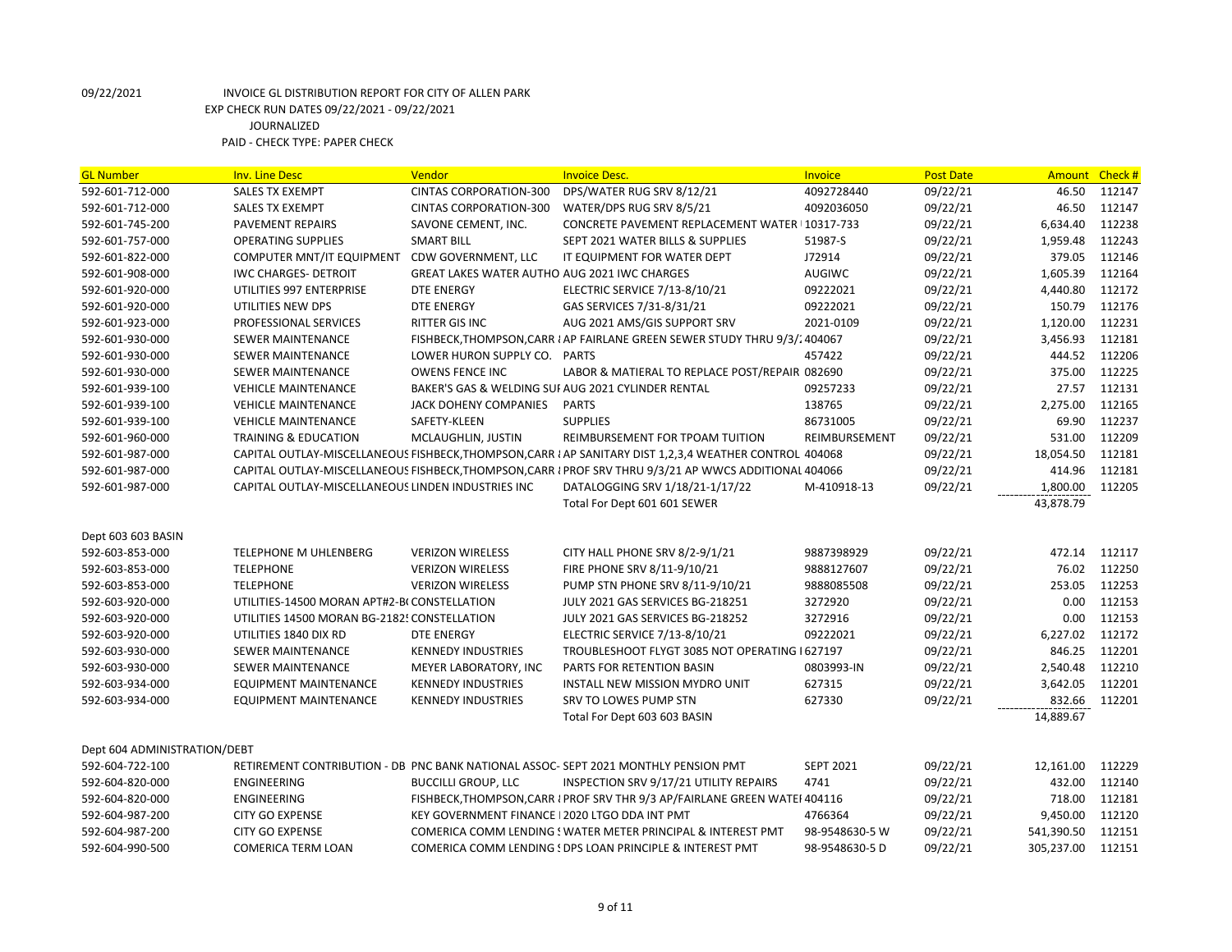| <b>GL Number</b>             | <b>Inv. Line Desc</b>                              | Vendor                                         | <b>Invoice Desc.</b>                                                                                    | <b>Invoice</b>   | <b>Post Date</b> | <b>Amount</b> | Check# |
|------------------------------|----------------------------------------------------|------------------------------------------------|---------------------------------------------------------------------------------------------------------|------------------|------------------|---------------|--------|
| 592-601-712-000              | <b>SALES TX EXEMPT</b>                             | <b>CINTAS CORPORATION-300</b>                  | DPS/WATER RUG SRV 8/12/21                                                                               | 4092728440       | 09/22/21         | 46.50         | 112147 |
| 592-601-712-000              | <b>SALES TX EXEMPT</b>                             | <b>CINTAS CORPORATION-300</b>                  | WATER/DPS RUG SRV 8/5/21                                                                                | 4092036050       | 09/22/21         | 46.50         | 112147 |
| 592-601-745-200              | PAVEMENT REPAIRS                                   | SAVONE CEMENT, INC.                            | CONCRETE PAVEMENT REPLACEMENT WATER I 10317-733                                                         |                  | 09/22/21         | 6,634.40      | 112238 |
| 592-601-757-000              | <b>OPERATING SUPPLIES</b>                          | <b>SMART BILL</b>                              | SEPT 2021 WATER BILLS & SUPPLIES                                                                        | 51987-S          | 09/22/21         | 1,959.48      | 112243 |
| 592-601-822-000              | <b>COMPUTER MNT/IT EQUIPMENT</b>                   | <b>CDW GOVERNMENT, LLC</b>                     | IT EQUIPMENT FOR WATER DEPT                                                                             | J72914           | 09/22/21         | 379.05        | 112146 |
| 592-601-908-000              | <b>IWC CHARGES- DETROIT</b>                        | GREAT LAKES WATER AUTHO AUG 2021 IWC CHARGES   |                                                                                                         | <b>AUGIWC</b>    | 09/22/21         | 1,605.39      | 112164 |
| 592-601-920-000              | UTILITIES 997 ENTERPRISE                           | <b>DTE ENERGY</b>                              | ELECTRIC SERVICE 7/13-8/10/21                                                                           | 09222021         | 09/22/21         | 4,440.80      | 112172 |
| 592-601-920-000              | UTILITIES NEW DPS                                  | <b>DTE ENERGY</b>                              | GAS SERVICES 7/31-8/31/21                                                                               | 09222021         | 09/22/21         | 150.79        | 112176 |
| 592-601-923-000              | <b>PROFESSIONAL SERVICES</b>                       | RITTER GIS INC                                 | AUG 2021 AMS/GIS SUPPORT SRV                                                                            | 2021-0109        | 09/22/21         | 1,120.00      | 112231 |
| 592-601-930-000              | <b>SEWER MAINTENANCE</b>                           |                                                | FISHBECK, THOMPSON, CARR I AP FAIRLANE GREEN SEWER STUDY THRU 9/3/2404067                               |                  | 09/22/21         | 3,456.93      | 112181 |
| 592-601-930-000              | <b>SEWER MAINTENANCE</b>                           | LOWER HURON SUPPLY CO. PARTS                   |                                                                                                         | 457422           | 09/22/21         | 444.52        | 112206 |
| 592-601-930-000              | <b>SEWER MAINTENANCE</b>                           | <b>OWENS FENCE INC</b>                         | LABOR & MATIERAL TO REPLACE POST/REPAIR 082690                                                          |                  | 09/22/21         | 375.00        | 112225 |
| 592-601-939-100              | <b>VEHICLE MAINTENANCE</b>                         |                                                | BAKER'S GAS & WELDING SUI AUG 2021 CYLINDER RENTAL                                                      | 09257233         | 09/22/21         | 27.57         | 112131 |
| 592-601-939-100              | <b>VEHICLE MAINTENANCE</b>                         | JACK DOHENY COMPANIES                          | <b>PARTS</b>                                                                                            | 138765           | 09/22/21         | 2,275.00      | 112165 |
| 592-601-939-100              | <b>VEHICLE MAINTENANCE</b>                         | SAFETY-KLEEN                                   | <b>SUPPLIES</b>                                                                                         | 86731005         | 09/22/21         | 69.90         | 112237 |
| 592-601-960-000              | TRAINING & EDUCATION                               | MCLAUGHLIN, JUSTIN                             | REIMBURSEMENT FOR TPOAM TUITION                                                                         | REIMBURSEMENT    | 09/22/21         | 531.00        | 112209 |
| 592-601-987-000              |                                                    |                                                | CAPITAL OUTLAY-MISCELLANEOUS FISHBECK, THOMPSON, CARR I AP SANITARY DIST 1,2,3,4 WEATHER CONTROL 404068 |                  | 09/22/21         | 18,054.50     | 112181 |
| 592-601-987-000              |                                                    |                                                | CAPITAL OUTLAY-MISCELLANEOUS FISHBECK, THOMPSON, CARR I PROF SRV THRU 9/3/21 AP WWCS ADDITIONAL 404066  |                  | 09/22/21         | 414.96        | 112181 |
| 592-601-987-000              | CAPITAL OUTLAY-MISCELLANEOUS LINDEN INDUSTRIES INC |                                                | DATALOGGING SRV 1/18/21-1/17/22                                                                         | M-410918-13      | 09/22/21         | 1,800.00      | 112205 |
|                              |                                                    |                                                | Total For Dept 601 601 SEWER                                                                            |                  |                  | 43,878.79     |        |
| Dept 603 603 BASIN           |                                                    |                                                |                                                                                                         |                  |                  |               |        |
| 592-603-853-000              | TELEPHONE M UHLENBERG                              | <b>VERIZON WIRELESS</b>                        | CITY HALL PHONE SRV 8/2-9/1/21                                                                          | 9887398929       | 09/22/21         | 472.14        | 112117 |
| 592-603-853-000              | <b>TELEPHONE</b>                                   | <b>VERIZON WIRELESS</b>                        | FIRE PHONE SRV 8/11-9/10/21                                                                             | 9888127607       | 09/22/21         | 76.02         | 112250 |
| 592-603-853-000              | <b>TELEPHONE</b>                                   | <b>VERIZON WIRELESS</b>                        | PUMP STN PHONE SRV 8/11-9/10/21                                                                         | 9888085508       | 09/22/21         | 253.05        | 112253 |
| 592-603-920-000              | UTILITIES-14500 MORAN APT#2-B(CONSTELLATION        |                                                | JULY 2021 GAS SERVICES BG-218251                                                                        | 3272920          | 09/22/21         | 0.00          | 112153 |
| 592-603-920-000              | UTILITIES 14500 MORAN BG-2182! CONSTELLATION       |                                                | JULY 2021 GAS SERVICES BG-218252                                                                        | 3272916          | 09/22/21         | 0.00          | 112153 |
| 592-603-920-000              | UTILITIES 1840 DIX RD                              | <b>DTE ENERGY</b>                              | ELECTRIC SERVICE 7/13-8/10/21                                                                           | 09222021         | 09/22/21         | 6,227.02      | 112172 |
| 592-603-930-000              | <b>SEWER MAINTENANCE</b>                           | <b>KENNEDY INDUSTRIES</b>                      | TROUBLESHOOT FLYGT 3085 NOT OPERATING I 627197                                                          |                  | 09/22/21         | 846.25        | 112201 |
| 592-603-930-000              | <b>SEWER MAINTENANCE</b>                           | MEYER LABORATORY, INC                          | PARTS FOR RETENTION BASIN                                                                               | 0803993-IN       | 09/22/21         | 2,540.48      | 112210 |
| 592-603-934-000              | <b>EQUIPMENT MAINTENANCE</b>                       | <b>KENNEDY INDUSTRIES</b>                      | INSTALL NEW MISSION MYDRO UNIT                                                                          | 627315           | 09/22/21         | 3,642.05      | 112201 |
| 592-603-934-000              | <b>EQUIPMENT MAINTENANCE</b>                       | <b>KENNEDY INDUSTRIES</b>                      | SRV TO LOWES PUMP STN                                                                                   | 627330           | 09/22/21         | 832.66        | 112201 |
|                              |                                                    |                                                | Total For Dept 603 603 BASIN                                                                            |                  |                  | 14,889.67     |        |
| Dept 604 ADMINISTRATION/DEBT |                                                    |                                                |                                                                                                         |                  |                  |               |        |
| 592-604-722-100              |                                                    |                                                | RETIREMENT CONTRIBUTION - DB PNC BANK NATIONAL ASSOC-SEPT 2021 MONTHLY PENSION PMT                      | <b>SEPT 2021</b> | 09/22/21         | 12,161.00     | 112229 |
| 592-604-820-000              | ENGINEERING                                        | <b>BUCCILLI GROUP, LLC</b>                     | INSPECTION SRV 9/17/21 UTILITY REPAIRS                                                                  | 4741             | 09/22/21         | 432.00        | 112140 |
| 592-604-820-000              | <b>ENGINEERING</b>                                 |                                                | FISHBECK, THOMPSON, CARR I PROF SRV THR 9/3 AP/FAIRLANE GREEN WATEI 404116                              |                  | 09/22/21         | 718.00        | 112181 |
| 592-604-987-200              | <b>CITY GO EXPENSE</b>                             | KEY GOVERNMENT FINANCE   2020 LTGO DDA INT PMT |                                                                                                         | 4766364          | 09/22/21         | 9,450.00      | 112120 |
| 592-604-987-200              | <b>CITY GO EXPENSE</b>                             |                                                | COMERICA COMM LENDING ! WATER METER PRINCIPAL & INTEREST PMT                                            | 98-9548630-5 W   | 09/22/21         | 541,390.50    | 112151 |
| 592-604-990-500              | COMERICA TERM LOAN                                 |                                                | COMERICA COMM LENDING ! DPS LOAN PRINCIPLE & INTEREST PMT                                               | 98-9548630-5 D   | 09/22/21         | 305,237.00    | 112151 |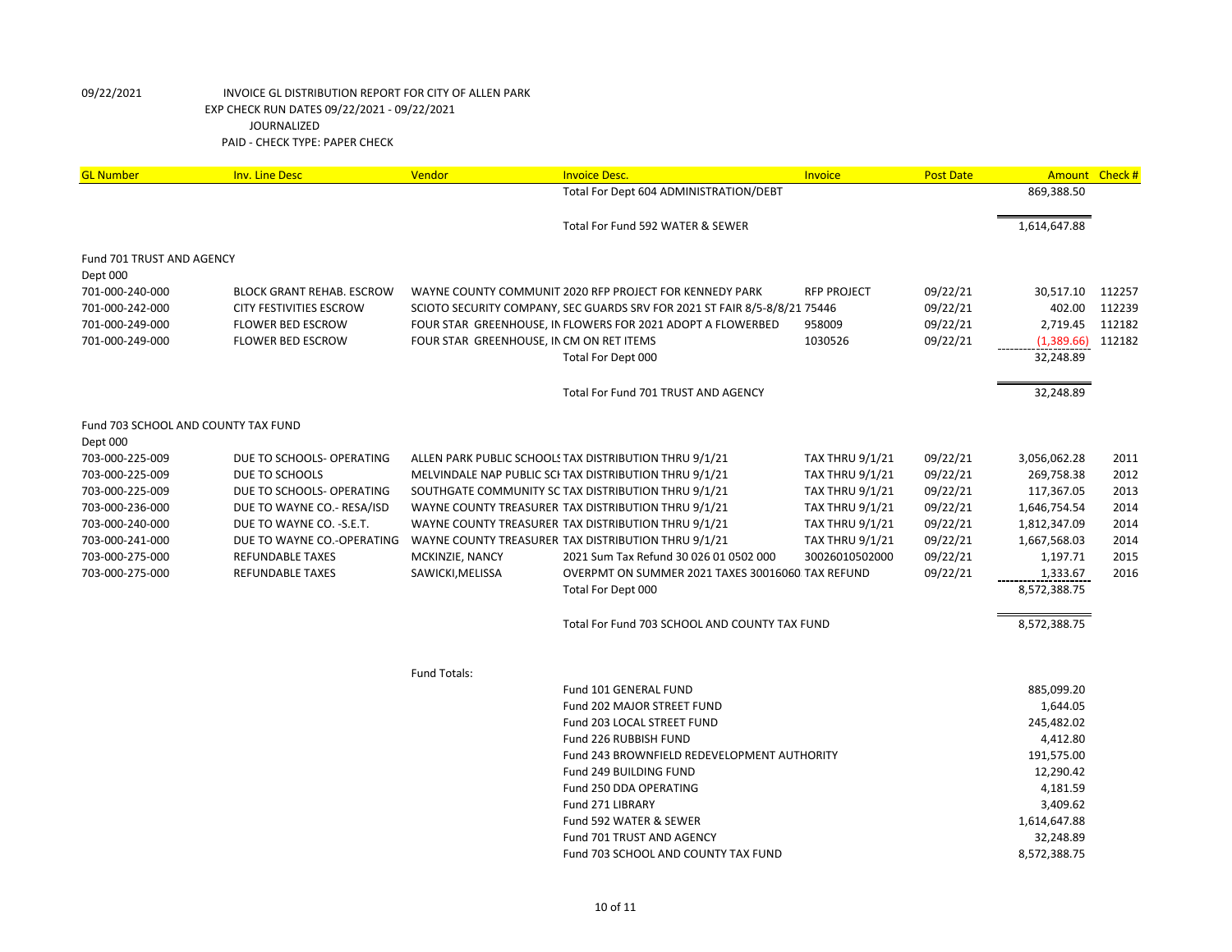| <b>GL Number</b>                    | <b>Inv. Line Desc</b>                                   | Vendor                                   | <b>Invoice Desc.</b>                                                                                       | <b>Invoice</b>                                   | <b>Post Date</b>     |                              | Amount Check # |
|-------------------------------------|---------------------------------------------------------|------------------------------------------|------------------------------------------------------------------------------------------------------------|--------------------------------------------------|----------------------|------------------------------|----------------|
|                                     |                                                         |                                          | Total For Dept 604 ADMINISTRATION/DEBT                                                                     |                                                  |                      | 869,388.50                   |                |
|                                     |                                                         |                                          | Total For Fund 592 WATER & SEWER                                                                           |                                                  |                      | 1,614,647.88                 |                |
| Fund 701 TRUST AND AGENCY           |                                                         |                                          |                                                                                                            |                                                  |                      |                              |                |
| Dept 000                            |                                                         |                                          |                                                                                                            |                                                  |                      |                              |                |
| 701-000-240-000                     | <b>BLOCK GRANT REHAB. ESCROW</b>                        |                                          | WAYNE COUNTY COMMUNIT 2020 RFP PROJECT FOR KENNEDY PARK                                                    | <b>RFP PROJECT</b>                               | 09/22/21             | 30,517.10                    | 112257         |
| 701-000-242-000                     | CITY FESTIVITIES ESCROW                                 |                                          | SCIOTO SECURITY COMPANY, SEC GUARDS SRV FOR 2021 ST FAIR 8/5-8/8/21 75446                                  |                                                  | 09/22/21             | 402.00                       | 112239         |
| 701-000-249-000                     | <b>FLOWER BED ESCROW</b>                                |                                          | FOUR STAR GREENHOUSE, IN FLOWERS FOR 2021 ADOPT A FLOWERBED                                                | 958009                                           | 09/22/21             | 2,719.45                     | 112182         |
| 701-000-249-000                     | <b>FLOWER BED ESCROW</b>                                | FOUR STAR GREENHOUSE, IN CM ON RET ITEMS |                                                                                                            | 1030526                                          | 09/22/21             | (1,389.66)                   | 112182         |
|                                     |                                                         |                                          | Total For Dept 000                                                                                         |                                                  |                      | 32,248.89                    |                |
|                                     |                                                         |                                          | Total For Fund 701 TRUST AND AGENCY                                                                        |                                                  |                      | 32,248.89                    |                |
| Fund 703 SCHOOL AND COUNTY TAX FUND |                                                         |                                          |                                                                                                            |                                                  |                      |                              |                |
| Dept 000                            |                                                         |                                          |                                                                                                            |                                                  |                      |                              |                |
| 703-000-225-009                     | DUE TO SCHOOLS- OPERATING                               |                                          | ALLEN PARK PUBLIC SCHOOLS TAX DISTRIBUTION THRU 9/1/21                                                     | <b>TAX THRU 9/1/21</b>                           | 09/22/21             | 3,056,062.28                 | 2011           |
| 703-000-225-009<br>703-000-225-009  | DUE TO SCHOOLS                                          |                                          | MELVINDALE NAP PUBLIC SCI TAX DISTRIBUTION THRU 9/1/21                                                     | <b>TAX THRU 9/1/21</b>                           | 09/22/21             | 269,758.38                   | 2012<br>2013   |
| 703-000-236-000                     | DUE TO SCHOOLS- OPERATING                               |                                          | SOUTHGATE COMMUNITY SC TAX DISTRIBUTION THRU 9/1/21                                                        | <b>TAX THRU 9/1/21</b>                           | 09/22/21             | 117,367.05                   | 2014           |
| 703-000-240-000                     | DUE TO WAYNE CO.- RESA/ISD<br>DUE TO WAYNE CO. - S.E.T. |                                          | WAYNE COUNTY TREASURER TAX DISTRIBUTION THRU 9/1/21<br>WAYNE COUNTY TREASURER TAX DISTRIBUTION THRU 9/1/21 | <b>TAX THRU 9/1/21</b><br><b>TAX THRU 9/1/21</b> | 09/22/21<br>09/22/21 | 1,646,754.54<br>1,812,347.09 | 2014           |
| 703-000-241-000                     | DUE TO WAYNE CO.-OPERATING                              |                                          | WAYNE COUNTY TREASURER TAX DISTRIBUTION THRU 9/1/21                                                        | <b>TAX THRU 9/1/21</b>                           | 09/22/21             | 1,667,568.03                 | 2014           |
| 703-000-275-000                     | <b>REFUNDABLE TAXES</b>                                 | MCKINZIE, NANCY                          | 2021 Sum Tax Refund 30 026 01 0502 000                                                                     | 30026010502000                                   | 09/22/21             | 1,197.71                     | 2015           |
| 703-000-275-000                     | <b>REFUNDABLE TAXES</b>                                 | SAWICKI, MELISSA                         | OVERPMT ON SUMMER 2021 TAXES 30016060 TAX REFUND                                                           |                                                  | 09/22/21             | 1,333.67                     | 2016           |
|                                     |                                                         |                                          | Total For Dept 000                                                                                         |                                                  |                      | 8,572,388.75                 |                |
|                                     |                                                         |                                          |                                                                                                            |                                                  |                      |                              |                |
|                                     |                                                         |                                          | Total For Fund 703 SCHOOL AND COUNTY TAX FUND                                                              |                                                  |                      | 8,572,388.75                 |                |
|                                     |                                                         | <b>Fund Totals:</b>                      |                                                                                                            |                                                  |                      |                              |                |
|                                     |                                                         |                                          | Fund 101 GENERAL FUND                                                                                      |                                                  |                      | 885,099.20                   |                |
|                                     |                                                         |                                          | Fund 202 MAJOR STREET FUND                                                                                 |                                                  |                      | 1,644.05                     |                |
|                                     |                                                         |                                          | Fund 203 LOCAL STREET FUND                                                                                 |                                                  |                      | 245,482.02                   |                |
|                                     |                                                         |                                          | Fund 226 RUBBISH FUND                                                                                      |                                                  |                      | 4,412.80                     |                |
|                                     |                                                         |                                          | Fund 243 BROWNFIELD REDEVELOPMENT AUTHORITY                                                                |                                                  |                      | 191,575.00                   |                |
|                                     |                                                         |                                          | Fund 249 BUILDING FUND                                                                                     |                                                  |                      | 12,290.42                    |                |
|                                     |                                                         |                                          | Fund 250 DDA OPERATING                                                                                     |                                                  |                      | 4,181.59                     |                |
|                                     |                                                         |                                          | Fund 271 LIBRARY                                                                                           |                                                  |                      | 3,409.62                     |                |
|                                     |                                                         |                                          | Fund 592 WATER & SEWER                                                                                     |                                                  |                      | 1,614,647.88                 |                |
|                                     |                                                         |                                          | Fund 701 TRUST AND AGENCY                                                                                  |                                                  |                      | 32,248.89                    |                |
|                                     |                                                         |                                          | Fund 703 SCHOOL AND COUNTY TAX FUND                                                                        |                                                  |                      | 8,572,388.75                 |                |
|                                     |                                                         |                                          |                                                                                                            |                                                  |                      |                              |                |